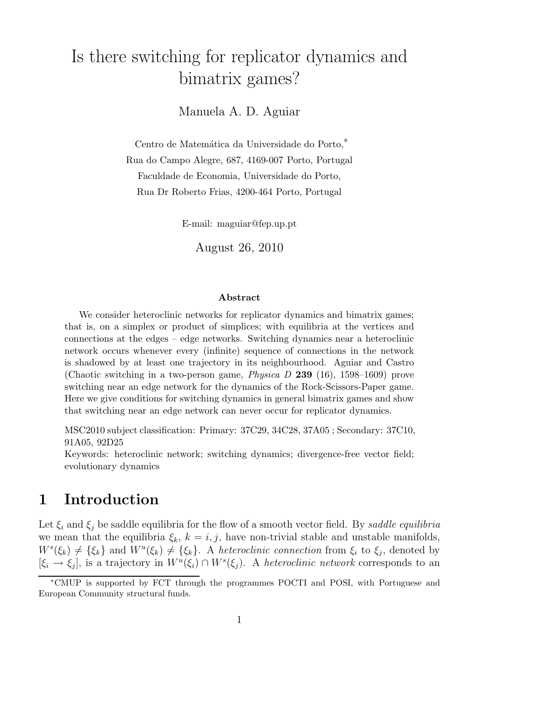# Is there switching for replicator dynamics and bimatrix games?

Manuela A. D. Aguiar

Centro de Matemática da Universidade do Porto,<sup>\*</sup> Rua do Campo Alegre, 687, 4169-007 Porto, Portugal Faculdade de Economia, Universidade do Porto, Rua Dr Roberto Frias, 4200-464 Porto, Portugal

E-mail: maguiar@fep.up.pt

August 26, 2010

#### Abstract

We consider heteroclinic networks for replicator dynamics and bimatrix games; that is, on a simplex or product of simplices; with equilibria at the vertices and connections at the edges – edge networks. Switching dynamics near a heteroclinic network occurs whenever every (infinite) sequence of connections in the network is shadowed by at least one trajectory in its neighbourhood. Aguiar and Castro (Chaotic switching in a two-person game, *Physica D* 239 (16), 1598–1609) prove switching near an edge network for the dynamics of the Rock-Scissors-Paper game. Here we give conditions for switching dynamics in general bimatrix games and show that switching near an edge network can never occur for replicator dynamics.

MSC2010 subject classification: Primary: 37C29, 34C28, 37A05 ; Secondary: 37C10, 91A05, 92D25

Keywords: heteroclinic network; switching dynamics; divergence-free vector field; evolutionary dynamics

### 1 Introduction

Let  $\xi_i$  and  $\xi_j$  be saddle equilibria for the flow of a smooth vector field. By saddle equilibria we mean that the equilibria  $\xi_k$ ,  $k = i, j$ , have non-trivial stable and unstable manifolds,  $W^s(\xi_k) \neq {\xi_k}$  and  $W^u(\xi_k) \neq {\xi_k}$ . A heteroclinic connection from  $\xi_i$  to  $\xi_j$ , denoted by  $[\xi_i \to \xi_j]$ , is a trajectory in  $W^u(\xi_i) \cap W^s(\xi_j)$ . A heteroclinic network corresponds to an

<sup>∗</sup>CMUP is supported by FCT through the programmes POCTI and POSI, with Portuguese and European Community structural funds.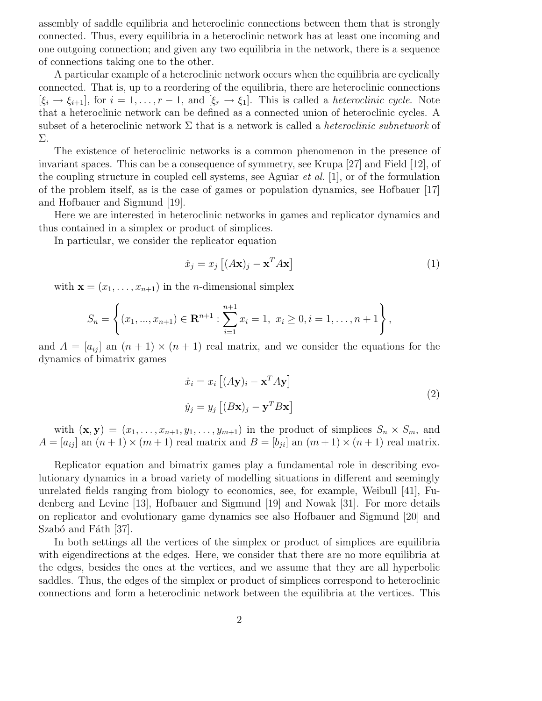assembly of saddle equilibria and heteroclinic connections between them that is strongly connected. Thus, every equilibria in a heteroclinic network has at least one incoming and one outgoing connection; and given any two equilibria in the network, there is a sequence of connections taking one to the other.

A particular example of a heteroclinic network occurs when the equilibria are cyclically connected. That is, up to a reordering of the equilibria, there are heteroclinic connections  $[\xi_i \to \xi_{i+1}]$ , for  $i = 1, \ldots, r-1$ , and  $[\xi_r \to \xi_1]$ . This is called a *heteroclinic cycle*. Note that a heteroclinic network can be defined as a connected union of heteroclinic cycles. A subset of a heteroclinic network  $\Sigma$  that is a network is called a *heteroclinic subnetwork* of Σ.

The existence of heteroclinic networks is a common phenomenon in the presence of invariant spaces. This can be a consequence of symmetry, see Krupa [27] and Field [12], of the coupling structure in coupled cell systems, see Aguiar et al. [1], or of the formulation of the problem itself, as is the case of games or population dynamics, see Hofbauer [17] and Hofbauer and Sigmund [19].

Here we are interested in heteroclinic networks in games and replicator dynamics and thus contained in a simplex or product of simplices.

In particular, we consider the replicator equation

$$
\dot{x}_j = x_j \left[ (A\mathbf{x})_j - \mathbf{x}^T A \mathbf{x} \right] \tag{1}
$$

with  $\mathbf{x} = (x_1, \ldots, x_{n+1})$  in the *n*-dimensional simplex

$$
S_n = \left\{ (x_1, ..., x_{n+1}) \in \mathbf{R}^{n+1} : \sum_{i=1}^{n+1} x_i = 1, \ x_i \ge 0, i = 1, ..., n+1 \right\},\
$$

and  $A = [a_{ij}]$  an  $(n + 1) \times (n + 1)$  real matrix, and we consider the equations for the dynamics of bimatrix games

$$
\begin{aligned} \dot{x}_i &= x_i \left[ (A\mathbf{y})_i - \mathbf{x}^T A \mathbf{y} \right] \\ \dot{y}_j &= y_j \left[ (B\mathbf{x})_j - \mathbf{y}^T B \mathbf{x} \right] \end{aligned} \tag{2}
$$

with  $(\mathbf{x}, \mathbf{y}) = (x_1, \ldots, x_{n+1}, y_1, \ldots, y_{m+1})$  in the product of simplices  $S_n \times S_m$ , and  $A = [a_{ij}]$  an  $(n+1) \times (m+1)$  real matrix and  $B = [b_{ji}]$  an  $(m+1) \times (n+1)$  real matrix.

Replicator equation and bimatrix games play a fundamental role in describing evolutionary dynamics in a broad variety of modelling situations in different and seemingly unrelated fields ranging from biology to economics, see, for example, Weibull [41], Fudenberg and Levine [13], Hofbauer and Sigmund [19] and Nowak [31]. For more details on replicator and evolutionary game dynamics see also Hofbauer and Sigmund [20] and Szabó and Fáth [37].

In both settings all the vertices of the simplex or product of simplices are equilibria with eigendirections at the edges. Here, we consider that there are no more equilibria at the edges, besides the ones at the vertices, and we assume that they are all hyperbolic saddles. Thus, the edges of the simplex or product of simplices correspond to heteroclinic connections and form a heteroclinic network between the equilibria at the vertices. This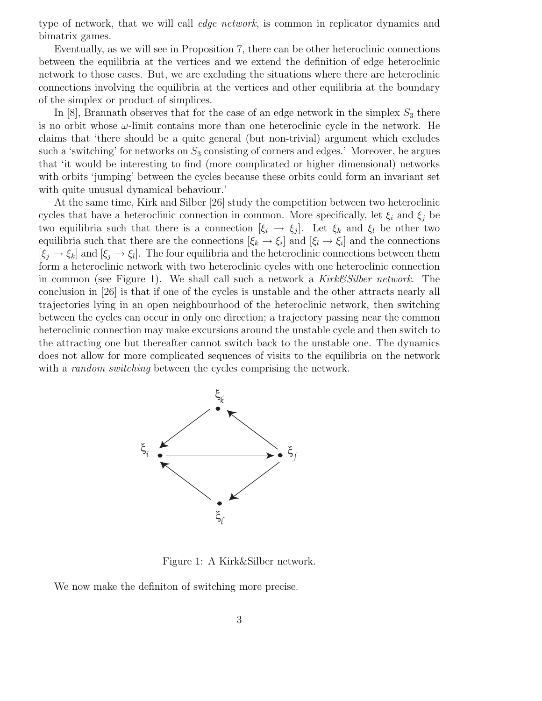type of network, that we will call edge network, is common in replicator dynamics and bimatrix games.

Eventually, as we will see in Proposition 7, there can be other heteroclinic connections between the equilibria at the vertices and we extend the definition of edge heteroclinic network to those cases. But, we are excluding the situations where there are heteroclinic connections involving the equilibria at the vertices and other equilibria at the boundary of the simplex or product of simplices.

In  $[8]$ , Brannath observes that for the case of an edge network in the simplex  $S_3$  there is no orbit whose  $\omega$ -limit contains more than one heteroclinic cycle in the network. He claims that 'there should be a quite general (but non-trivial) argument which excludes such a 'switching' for networks on  $S_3$  consisting of corners and edges.' Moreover, he argues that 'it would be interesting to find (more complicated or higher dimensional) networks with orbits 'jumping' between the cycles because these orbits could form an invariant set with quite unusual dynamical behaviour.'

At the same time, Kirk and Silber [26] study the competition between two heteroclinic cycles that have a heteroclinic connection in common. More specifically, let  $\xi_i$  and  $\xi_j$  be two equilibria such that there is a connection  $[\xi_i \to \xi_j]$ . Let  $\xi_k$  and  $\xi_l$  be other two equilibria such that there are the connections  $[\xi_k \to \xi_i]$  and  $[\xi_l \to \xi_i]$  and the connections  $[\xi_j \to \xi_k]$  and  $[\xi_j \to \xi_l]$ . The four equilibria and the heteroclinic connections between them form a heteroclinic network with two heteroclinic cycles with one heteroclinic connection in common (see Figure 1). We shall call such a network a  $Kirk\mathscr{C}Silber$  network. The conclusion in [26] is that if one of the cycles is unstable and the other attracts nearly all trajectories lying in an open neighbourhood of the heteroclinic network, then switching between the cycles can occur in only one direction; a trajectory passing near the common heteroclinic connection may make excursions around the unstable cycle and then switch to the attracting one but thereafter cannot switch back to the unstable one. The dynamics does not allow for more complicated sequences of visits to the equilibria on the network with a *random switching* between the cycles comprising the network.



Figure 1: A Kirk&Silber network.

We now make the definiton of switching more precise.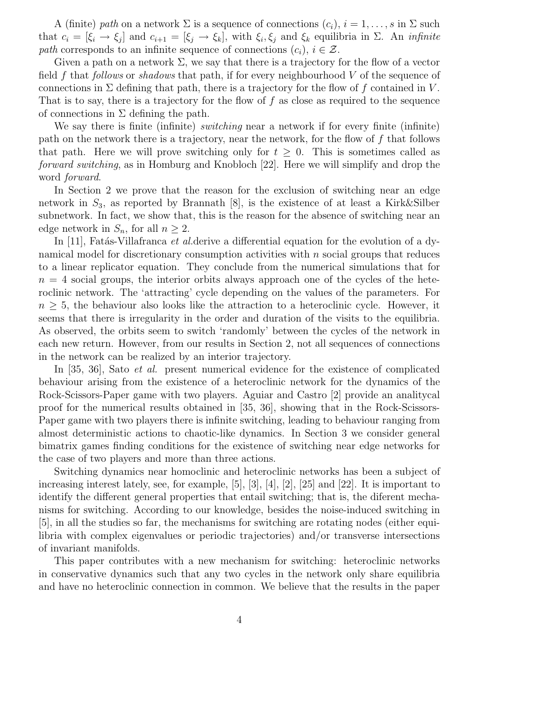A (finite) path on a network  $\Sigma$  is a sequence of connections  $(c_i)$ ,  $i = 1, \ldots, s$  in  $\Sigma$  such that  $c_i = [\xi_i \to \xi_j]$  and  $c_{i+1} = [\xi_j \to \xi_k]$ , with  $\xi_i, \xi_j$  and  $\xi_k$  equilibria in  $\Sigma$ . An *infinite* path corresponds to an infinite sequence of connections  $(c_i)$ ,  $i \in \mathcal{Z}$ .

Given a path on a network  $\Sigma$ , we say that there is a trajectory for the flow of a vector field f that follows or shadows that path, if for every neighbourhood  $V$  of the sequence of connections in  $\Sigma$  defining that path, there is a trajectory for the flow of f contained in V. That is to say, there is a trajectory for the flow of  $f$  as close as required to the sequence of connections in  $\Sigma$  defining the path.

We say there is finite (infinite) *switching* near a network if for every finite (infinite) path on the network there is a trajectory, near the network, for the flow of  $f$  that follows that path. Here we will prove switching only for  $t \geq 0$ . This is sometimes called as forward switching, as in Homburg and Knobloch [22]. Here we will simplify and drop the word forward.

In Section 2 we prove that the reason for the exclusion of switching near an edge network in  $S_3$ , as reported by Brannath [8], is the existence of at least a Kirk&Silber subnetwork. In fact, we show that, this is the reason for the absence of switching near an edge network in  $S_n$ , for all  $n \geq 2$ .

In [11], Fatas-Villafranca *et al.* derive a differential equation for the evolution of a dynamical model for discretionary consumption activities with  $n$  social groups that reduces to a linear replicator equation. They conclude from the numerical simulations that for  $n = 4$  social groups, the interior orbits always approach one of the cycles of the heteroclinic network. The 'attracting' cycle depending on the values of the parameters. For  $n \geq 5$ , the behaviour also looks like the attraction to a heteroclinic cycle. However, it seems that there is irregularity in the order and duration of the visits to the equilibria. As observed, the orbits seem to switch 'randomly' between the cycles of the network in each new return. However, from our results in Section 2, not all sequences of connections in the network can be realized by an interior trajectory.

In [35, 36], Sato et al. present numerical evidence for the existence of complicated behaviour arising from the existence of a heteroclinic network for the dynamics of the Rock-Scissors-Paper game with two players. Aguiar and Castro [2] provide an analitycal proof for the numerical results obtained in [35, 36], showing that in the Rock-Scissors-Paper game with two players there is infinite switching, leading to behaviour ranging from almost deterministic actions to chaotic-like dynamics. In Section 3 we consider general bimatrix games finding conditions for the existence of switching near edge networks for the case of two players and more than three actions.

Switching dynamics near homoclinic and heteroclinic networks has been a subject of increasing interest lately, see, for example, [5], [3], [4], [2], [25] and [22]. It is important to identify the different general properties that entail switching; that is, the diferent mechanisms for switching. According to our knowledge, besides the noise-induced switching in [5], in all the studies so far, the mechanisms for switching are rotating nodes (either equilibria with complex eigenvalues or periodic trajectories) and/or transverse intersections of invariant manifolds.

This paper contributes with a new mechanism for switching: heteroclinic networks in conservative dynamics such that any two cycles in the network only share equilibria and have no heteroclinic connection in common. We believe that the results in the paper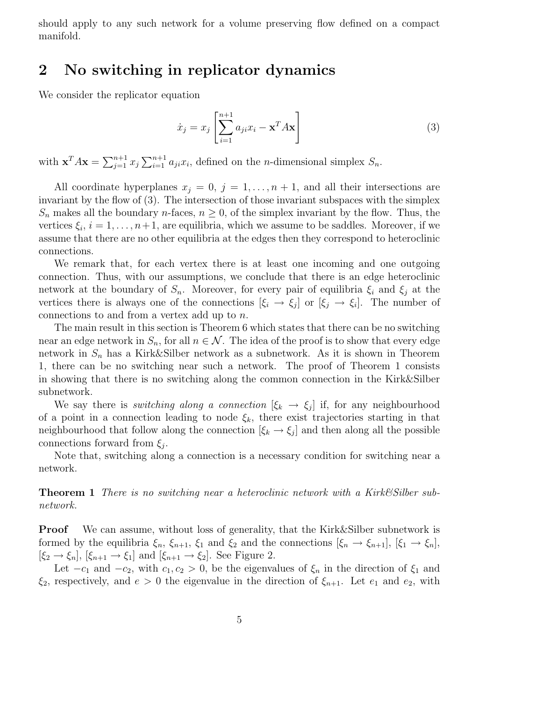should apply to any such network for a volume preserving flow defined on a compact manifold.

### 2 No switching in replicator dynamics

We consider the replicator equation

$$
\dot{x}_j = x_j \left[ \sum_{i=1}^{n+1} a_{ji} x_i - \mathbf{x}^T A \mathbf{x} \right]
$$
\n(3)

with  $\mathbf{x}^T A \mathbf{x} = \sum_{j=1}^{n+1} x_j \sum_{i=1}^{n+1} a_{ji} x_i$ , defined on the *n*-dimensional simplex  $S_n$ .

All coordinate hyperplanes  $x_j = 0, j = 1, \ldots, n+1$ , and all their intersections are invariant by the flow of (3). The intersection of those invariant subspaces with the simplex  $S_n$  makes all the boundary *n*-faces,  $n \geq 0$ , of the simplex invariant by the flow. Thus, the vertices  $\xi_i$ ,  $i = 1, \ldots, n+1$ , are equilibria, which we assume to be saddles. Moreover, if we assume that there are no other equilibria at the edges then they correspond to heteroclinic connections.

We remark that, for each vertex there is at least one incoming and one outgoing connection. Thus, with our assumptions, we conclude that there is an edge heteroclinic network at the boundary of  $S_n$ . Moreover, for every pair of equilibria  $\xi_i$  and  $\xi_j$  at the vertices there is always one of the connections  $[\xi_i \to \xi_j]$  or  $[\xi_j \to \xi_i]$ . The number of connections to and from a vertex add up to n.

The main result in this section is Theorem 6 which states that there can be no switching near an edge network in  $S_n$ , for all  $n \in \mathcal{N}$ . The idea of the proof is to show that every edge network in  $S_n$  has a Kirk&Silber network as a subnetwork. As it is shown in Theorem 1, there can be no switching near such a network. The proof of Theorem 1 consists in showing that there is no switching along the common connection in the Kirk&Silber subnetwork.

We say there is *switching along a connection*  $[\xi_k \to \xi_j]$  if, for any neighbourhood of a point in a connection leading to node  $\xi_k$ , there exist trajectories starting in that neighbourhood that follow along the connection  $[\xi_k \to \xi_j]$  and then along all the possible connections forward from  $\xi_j$ .

Note that, switching along a connection is a necessary condition for switching near a network.

Theorem 1 There is no switching near a heteroclinic network with a Kirk&Silber subnetwork.

Proof We can assume, without loss of generality, that the Kirk&Silber subnetwork is formed by the equilibria  $\xi_n$ ,  $\xi_{n+1}$ ,  $\xi_1$  and  $\xi_2$  and the connections  $[\xi_n \to \xi_{n+1}]$ ,  $[\xi_1 \to \xi_n]$ ,  $[\xi_2 \rightarrow \xi_n], [\xi_{n+1} \rightarrow \xi_1]$  and  $[\xi_{n+1} \rightarrow \xi_2]$ . See Figure 2.

Let  $-c_1$  and  $-c_2$ , with  $c_1, c_2 > 0$ , be the eigenvalues of  $\xi_n$  in the direction of  $\xi_1$  and  $\xi_2$ , respectively, and  $e > 0$  the eigenvalue in the direction of  $\xi_{n+1}$ . Let  $e_1$  and  $e_2$ , with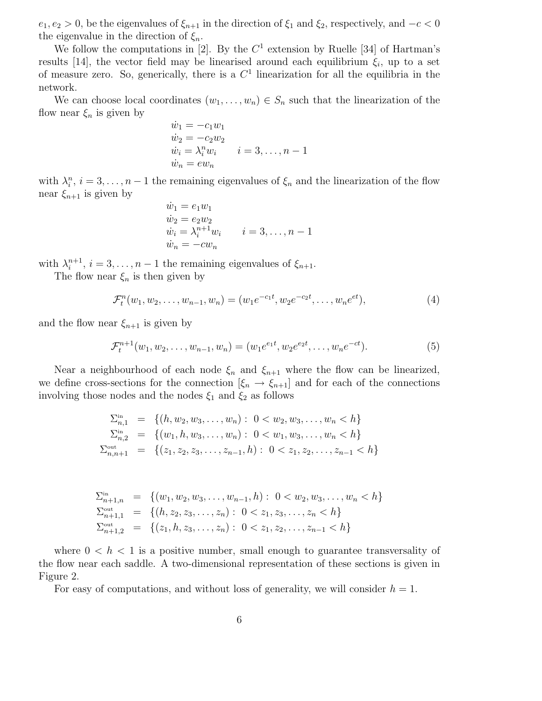$e_1, e_2 > 0$ , be the eigenvalues of  $\xi_{n+1}$  in the direction of  $\xi_1$  and  $\xi_2$ , respectively, and  $-c < 0$ the eigenvalue in the direction of  $\xi_n$ .

We follow the computations in [2]. By the  $C<sup>1</sup>$  extension by Ruelle [34] of Hartman's results [14], the vector field may be linearised around each equilibrium  $\xi_i$ , up to a set of measure zero. So, generically, there is a  $C<sup>1</sup>$  linearization for all the equilibria in the network.

We can choose local coordinates  $(w_1, \ldots, w_n) \in S_n$  such that the linearization of the flow near  $\xi_n$  is given by

$$
\begin{array}{l}\n\dot{w}_1 = -c_1 w_1 \\
\dot{w}_2 = -c_2 w_2 \\
\dot{w}_i = \lambda_i^n w_i \\
\dot{w}_n = e w_n\n\end{array} \quad i = 3, \dots, n-1
$$

with  $\lambda_i^n$ ,  $i = 3, \ldots, n-1$  the remaining eigenvalues of  $\xi_n$  and the linearization of the flow near  $\xi_{n+1}$  is given by

$$
\begin{aligned}\n\dot{w}_1 &= e_1 w_1 \\
\dot{w}_2 &= e_2 w_2 \\
\dot{w}_i &= \lambda_i^{n+1} w_i \\
\dot{w}_n &= -c w_n\n\end{aligned} \quad i = 3, \dots, n-1
$$

with  $\lambda_i^{n+1}$ ,  $i = 3, ..., n-1$  the remaining eigenvalues of  $\xi_{n+1}$ .

The flow near  $\xi_n$  is then given by

$$
\mathcal{F}_t^n(w_1, w_2, \dots, w_{n-1}, w_n) = (w_1 e^{-c_1 t}, w_2 e^{-c_2 t}, \dots, w_n e^{et}),
$$
\n(4)

and the flow near  $\xi_{n+1}$  is given by

$$
\mathcal{F}_t^{n+1}(w_1, w_2, \dots, w_{n-1}, w_n) = (w_1 e^{e_1 t}, w_2 e^{e_2 t}, \dots, w_n e^{-ct}).
$$
\n(5)

Near a neighbourhood of each node  $\xi_n$  and  $\xi_{n+1}$  where the flow can be linearized, we define cross-sections for the connection  $[\xi_n \to \xi_{n+1}]$  and for each of the connections involving those nodes and the nodes  $\xi_1$  and  $\xi_2$  as follows

$$
\Sigma_{n,1}^{\text{in}} = \{ (h, w_2, w_3, \dots, w_n) : 0 < w_2, w_3, \dots, w_n < h \}
$$
\n
$$
\Sigma_{n,2}^{\text{in}} = \{ (w_1, h, w_3, \dots, w_n) : 0 < w_1, w_3, \dots, w_n < h \}
$$
\n
$$
\Sigma_{n,n+1}^{\text{out}} = \{ (z_1, z_2, z_3, \dots, z_{n-1}, h) : 0 < z_1, z_2, \dots, z_{n-1} < h \}
$$

$$
\Sigma_{n+1,n}^{\text{in}} = \{ (w_1, w_2, w_3, \dots, w_{n-1}, h) : 0 < w_2, w_3, \dots, w_n < h \}
$$
\n
$$
\Sigma_{n+1,1}^{\text{out}} = \{ (h, z_2, z_3, \dots, z_n) : 0 < z_1, z_3, \dots, z_n < h \}
$$
\n
$$
\Sigma_{n+1,2}^{\text{out}} = \{ (z_1, h, z_3, \dots, z_n) : 0 < z_1, z_2, \dots, z_{n-1} < h \}
$$

where  $0 < h < 1$  is a positive number, small enough to guarantee transversality of the flow near each saddle. A two-dimensional representation of these sections is given in Figure 2.

For easy of computations, and without loss of generality, we will consider  $h = 1$ .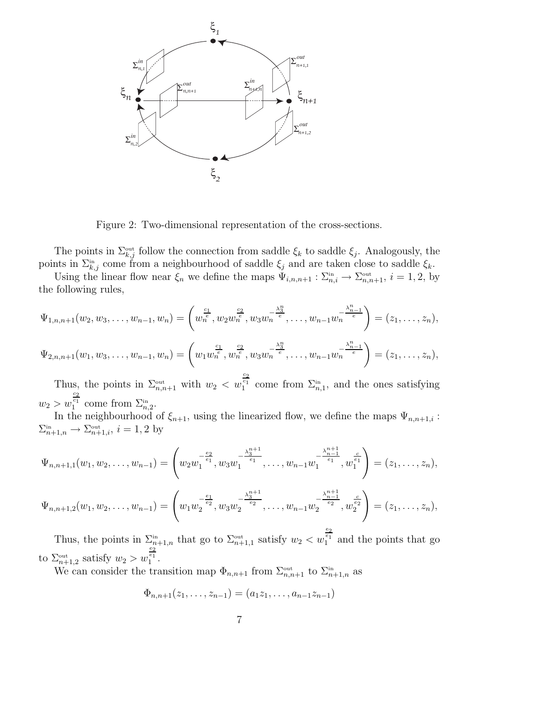

Figure 2: Two-dimensional representation of the cross-sections.

The points in  $\Sigma_{k,j}^{\text{out}}$  follow the connection from saddle  $\xi_k$  to saddle  $\xi_j$ . Analogously, the points in  $\Sigma_{k,j}^{in}$  come from a neighbourhood of saddle  $\xi_j$  and are taken close to saddle  $\xi_k$ .

Using the linear flow near  $\xi_n$  we define the maps  $\Psi_{i,n,n+1} : \Sigma_{n,i}^{\text{in}} \to \Sigma_{n,n+1}^{\text{out}}, i = 1, 2$ , by the following rules,

$$
\Psi_{1,n,n+1}(w_2, w_3, \dots, w_{n-1}, w_n) = \left(w_n^{\frac{c_1}{e}}, w_2 w_n^{\frac{c_2}{e}}, w_3 w_n^{-\frac{\lambda_3^n}{e}}, \dots, w_{n-1} w_n^{-\frac{\lambda_{n-1}^n}{e}}\right) = (z_1, \dots, z_n),
$$
  

$$
\Psi_{2,n,n+1}(w_1, w_3, \dots, w_{n-1}, w_n) = \left(w_1 w_n^{\frac{c_1}{e}}, w_n^{\frac{c_2}{e}}, w_3 w_n^{-\frac{\lambda_3^n}{e}}, \dots, w_{n-1} w_n^{-\frac{\lambda_{n-1}^n}{e}}\right) = (z_1, \dots, z_n),
$$

Thus, the points in  $\Sigma_{n,n+1}^{\text{out}}$  with  $w_2 < w$  $\frac{c_2}{c_1}$  come from  $\Sigma_{n,1}^{\text{in}}$ , and the ones satisfying  $w_2 > w$  $rac{c_2}{c_1}$  come from  $\Sigma_{n,2}^{\text{in}}$ .

In the neighbourhood of  $\xi_{n+1}$ , using the linearized flow, we define the maps  $\Psi_{n,n+1,i}$ :  $\Sigma_{n+1,n}^{\text{in}} \to \Sigma_{n+1,i}^{\text{out}}, i = 1,2$  by

$$
\Psi_{n,n+1,1}(w_1, w_2, \dots, w_{n-1}) = \left(w_2 w_1^{-\frac{e_2}{e_1}}, w_3 w_1^{-\frac{\lambda_3^{n+1}}{e_1}}, \dots, w_{n-1} w_1^{-\frac{\lambda_{n-1}^{n+1}}{e_1}}, w_1^{\frac{e_1}{e_1}}\right) = (z_1, \dots, z_n),
$$
  

$$
\Psi_{n,n+1,2}(w_1, w_2, \dots, w_{n-1}) = \left(w_1 w_2^{-\frac{e_1}{e_2}}, w_3 w_2^{-\frac{\lambda_3^{n+1}}{e_2}}, \dots, w_{n-1} w_2^{-\frac{\lambda_{n-1}^{n+1}}{e_2}}, w_2^{\frac{e_2}{e_2}}\right) = (z_1, \dots, z_n),
$$

Thus, the points in  $\sum_{n+1,n}^{\infty}$  that go to  $\sum_{n+1,1}^{\infty}$  satisfy  $w_2 < w$  $\frac{e_2}{e_1}$  and the points that go to  $\sum_{n+1,2}^{\text{out}}$  satisfy  $w_2 > w$  $\frac{e_2}{e_1}$ .

We can consider the transition map  $\Phi_{n,n+1}$  from  $\Sigma_{n,n+1}^{\text{out}}$  to  $\Sigma_{n+1,n}^{\text{in}}$  as

$$
\Phi_{n,n+1}(z_1,\ldots,z_{n-1})=(a_1z_1,\ldots,a_{n-1}z_{n-1})
$$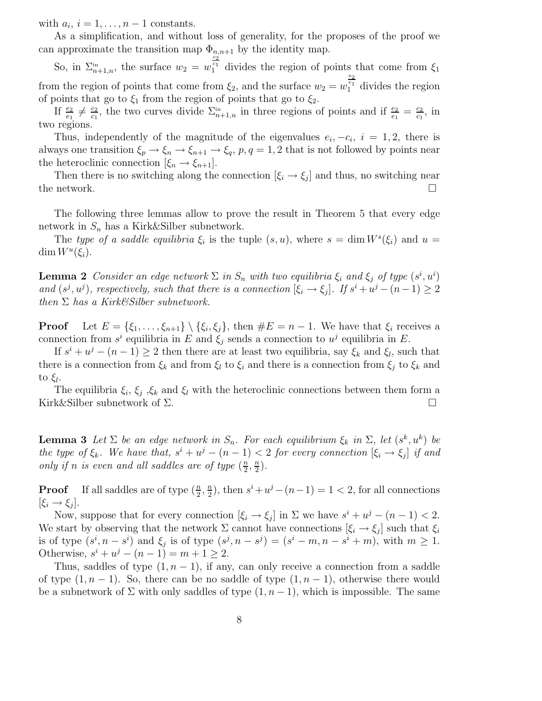with  $a_i$ ,  $i = 1, \ldots, n-1$  constants.

As a simplification, and without loss of generality, for the proposes of the proof we can approximate the transition map  $\Phi_{n,n+1}$  by the identity map.

So, in  $\Sigma_{n+1,n}^{\text{in}}$ , the surface  $w_2 = w$  $\frac{c_2}{c_1}$  divides the region of points that come from  $\xi_1$ from the region of points that come from  $\xi_2$ , and the surface  $w_2 = w$  $\frac{e_2}{e_1}$  divides the region of points that go to  $\xi_1$  from the region of points that go to  $\xi_2$ .

If  $\frac{e_2}{e_1} \neq \frac{c_2}{c_1}$  $\frac{c_2}{c_1}$ , the two curves divide  $\Sigma_{n+1,n}^{\text{in}}$  in three regions of points and if  $\frac{e_2}{e_1} = \frac{c_2}{c_1}$  $\frac{c_2}{c_1}$ , in two regions.

Thus, independently of the magnitude of the eigenvalues  $e_i, -c_i, i = 1, 2$ , there is always one transition  $\xi_p \to \xi_n \to \xi_{n+1} \to \xi_q$ ,  $p, q = 1, 2$  that is not followed by points near the heteroclinic connection  $[\xi_n \rightarrow \xi_{n+1}].$ 

Then there is no switching along the connection  $[\xi_i \rightarrow \xi_j]$  and thus, no switching near the network.  $\Box$ 

The following three lemmas allow to prove the result in Theorem 5 that every edge network in  $S_n$  has a Kirk&Silber subnetwork.

The type of a saddle equilibria  $\xi_i$  is the tuple  $(s, u)$ , where  $s = \dim W^s(\xi_i)$  and  $u =$  $\dim W^u(\xi_i)$ .

**Lemma 2** Consider an edge network  $\Sigma$  in  $S_n$  with two equilibria  $\xi_i$  and  $\xi_j$  of type  $(s^i, u^i)$ and  $(s^j, u^j)$ , respectively, such that there is a connection  $[\xi_i \to \xi_j]$ . If  $s^i + u^j - (n-1) \geq 2$ then  $\Sigma$  has a Kirk&Silber subnetwork.

**Proof** Let  $E = \{\xi_1, \ldots, \xi_{n+1}\} \setminus \{\xi_i, \xi_j\}$ , then  $\#E = n-1$ . We have that  $\xi_i$  receives a connection from  $s^i$  equilibria in E and  $\xi_j$  sends a connection to  $u^j$  equilibria in E.

If  $s^i + u^j - (n-1) \geq 2$  then there are at least two equilibria, say  $\xi_k$  and  $\xi_l$ , such that there is a connection from  $\xi_k$  and from  $\xi_l$  to  $\xi_i$  and there is a connection from  $\xi_j$  to  $\xi_k$  and to  $\xi_l$ .

The equilibria  $\xi_i$ ,  $\xi_j$ ,  $\xi_k$  and  $\xi_l$  with the heteroclinic connections between them form a Kirk&Silber subnetwork of  $\Sigma$ .

**Lemma 3** Let  $\Sigma$  be an edge network in  $S_n$ . For each equilibrium  $\xi_k$  in  $\Sigma$ , let  $(s^k, u^k)$  be the type of  $\xi_k$ . We have that,  $s^i + u^j - (n-1) < 2$  for every connection  $[\xi_i \to \xi_j]$  if and only if n is even and all saddles are of type  $(\frac{n}{2})$  $\frac{n}{2},\frac{n}{2}$  $\frac{n}{2}$ .

**Proof** If all saddles are of type  $(\frac{n}{2}, \frac{n}{2})$  $\frac{n}{2}$ , then  $s^i + u^j - (n-1) = 1 < 2$ , for all connections  $[\xi_i \rightarrow \xi_j].$ 

Now, suppose that for every connection  $[\xi_i \to \xi_j]$  in  $\Sigma$  we have  $s^i + u^j - (n-1) < 2$ . We start by observing that the network  $\Sigma$  cannot have connections  $[\xi_i \to \xi_j]$  such that  $\xi_i$ is of type  $(s^i, n - s^i)$  and  $\xi_j$  is of type  $(s^j, n - s^j) = (s^i - m, n - s^i + m)$ , with  $m \ge 1$ . Otherwise,  $s^{i} + u^{j} - (n - 1) = m + 1 \ge 2$ .

Thus, saddles of type  $(1, n - 1)$ , if any, can only receive a connection from a saddle of type  $(1, n - 1)$ . So, there can be no saddle of type  $(1, n - 1)$ , otherwise there would be a subnetwork of  $\Sigma$  with only saddles of type  $(1, n-1)$ , which is impossible. The same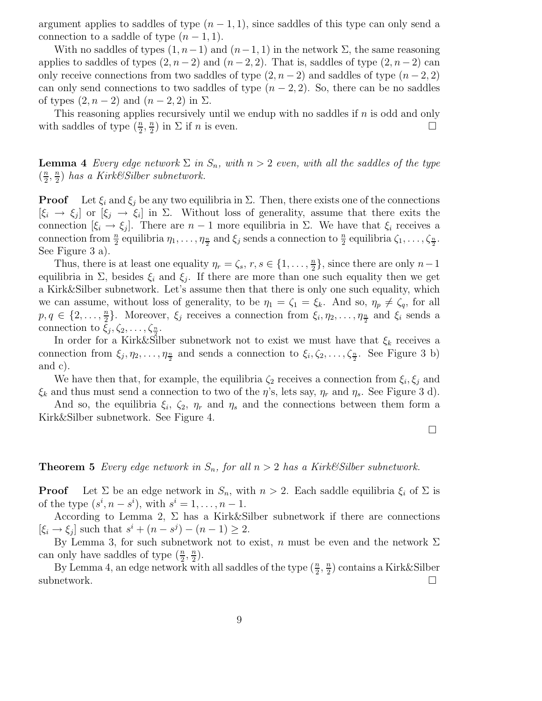argument applies to saddles of type  $(n - 1, 1)$ , since saddles of this type can only send a connection to a saddle of type  $(n-1,1)$ .

With no saddles of types  $(1, n-1)$  and  $(n-1, 1)$  in the network  $\Sigma$ , the same reasoning applies to saddles of types  $(2, n-2)$  and  $(n-2, 2)$ . That is, saddles of type  $(2, n-2)$  can only receive connections from two saddles of type  $(2, n-2)$  and saddles of type  $(n-2, 2)$ can only send connections to two saddles of type  $(n-2, 2)$ . So, there can be no saddles of types  $(2, n-2)$  and  $(n-2, 2)$  in  $\Sigma$ .

This reasoning applies recursively until we endup with no saddles if n is odd and only with saddles of type  $(\frac{n}{2}, \frac{n}{2})$  $\frac{n}{2}$ ) in  $\Sigma$  if *n* is even.

**Lemma 4** Every edge network  $\Sigma$  in  $S_n$ , with  $n > 2$  even, with all the saddles of the type  $\left(\frac{n}{2}\right)$  $\frac{n}{2}, \frac{n}{2}$  $\frac{n}{2}$ ) has a Kirk $\mathcal{C}Silber$  subnetwork.

**Proof** Let  $\xi_i$  and  $\xi_j$  be any two equilibria in  $\Sigma$ . Then, there exists one of the connections  $[\xi_i \to \xi_j]$  or  $[\xi_j \to \xi_i]$  in  $\Sigma$ . Without loss of generality, assume that there exits the connection  $[\xi_i \to \xi_j]$ . There are  $n-1$  more equilibria in  $\Sigma$ . We have that  $\xi_i$  receives a connection from  $\frac{n}{2}$  equilibria  $\eta_1, \ldots, \eta_{\frac{n}{2}}$  and  $\xi_j$  sends a connection to  $\frac{n}{2}$  equilibria  $\zeta_1, \ldots, \zeta_{\frac{n}{2}}$ . See Figure 3 a).

Thus, there is at least one equality  $\eta_r = \zeta_s, r, s \in \{1, \ldots, \frac{n}{2}\}$  $\frac{n}{2}$ , since there are only  $n-1$ equilibria in  $\Sigma$ , besides  $\xi_i$  and  $\xi_j$ . If there are more than one such equality then we get a Kirk&Silber subnetwork. Let's assume then that there is only one such equality, which we can assume, without loss of generality, to be  $\eta_1 = \zeta_1 = \xi_k$ . And so,  $\eta_p \neq \zeta_q$ , for all  $p, q \in \{2, \ldots, \frac{n}{2}\}$  $\frac{n}{2}$ . Moreover,  $\xi_j$  receives a connection from  $\xi_i, \eta_2, \ldots, \eta_{\frac{n}{2}}$  and  $\xi_i$  sends a connection to  $\xi_j, \zeta_2, \ldots, \zeta_{\frac{n}{2}}$ .

In order for a Kirk&Silber subnetwork not to exist we must have that  $\xi_k$  receives a connection from  $\xi_j, \eta_2, \ldots, \eta_{\frac{n}{2}}$  and sends a connection to  $\xi_i, \zeta_2, \ldots, \zeta_{\frac{n}{2}}$ . See Figure 3 b) and c).

We have then that, for example, the equilibria  $\zeta_2$  receives a connection from  $\xi_i, \xi_j$  and  $\xi_k$  and thus must send a connection to two of the  $\eta$ 's, lets say,  $\eta_r$  and  $\eta_s$ . See Figure 3 d).

And so, the equilibria  $\xi_i$ ,  $\zeta_2$ ,  $\eta_r$  and  $\eta_s$  and the connections between them form a Kirk&Silber subnetwork. See Figure 4.

 $\Box$ 

#### **Theorem 5** Every edge network in  $S_n$ , for all  $n > 2$  has a Kirk&Silber subnetwork.

**Proof** Let  $\Sigma$  be an edge network in  $S_n$ , with  $n > 2$ . Each saddle equilibria  $\xi_i$  of  $\Sigma$  is of the type  $(s^i, n - s^i)$ , with  $s^i = 1, \ldots, n - 1$ .

According to Lemma 2,  $\Sigma$  has a Kirk&Silber subnetwork if there are connections  $[\xi_i \to \xi_j]$  such that  $s^i + (n - s^j) - (n - 1) \ge 2$ .

By Lemma 3, for such subnetwork not to exist, n must be even and the network  $\Sigma$ can only have saddles of type  $(\frac{n}{2},\frac{n}{2})$  $\frac{n}{2}$ .

By Lemma 4, an edge network with all saddles of the type  $(\frac{n}{2}, \frac{n}{2})$  $\frac{n}{2}$ ) contains a Kirk&Silber subnetwork.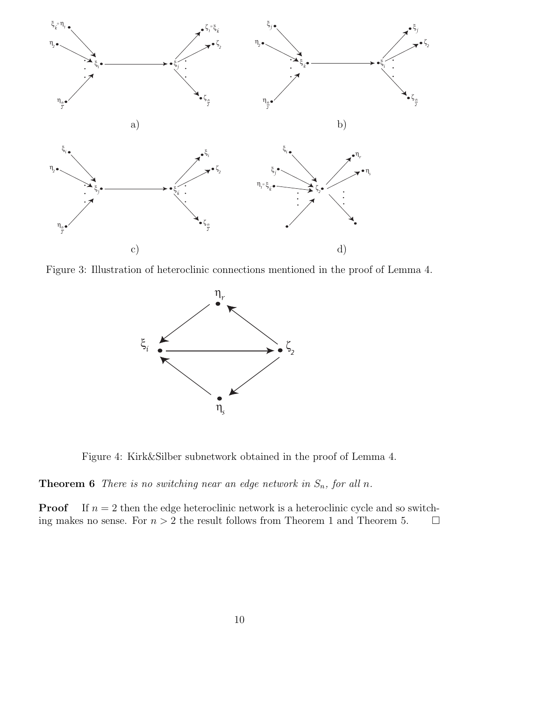

Figure 3: Illustration of heteroclinic connections mentioned in the proof of Lemma 4.



Figure 4: Kirk&Silber subnetwork obtained in the proof of Lemma 4.

**Theorem 6** There is no switching near an edge network in  $S_n$ , for all n.

**Proof** If  $n = 2$  then the edge heteroclinic network is a heteroclinic cycle and so switching makes no sense. For  $n > 2$  the result follows from Theorem 1 and Theorem 5.  $\Box$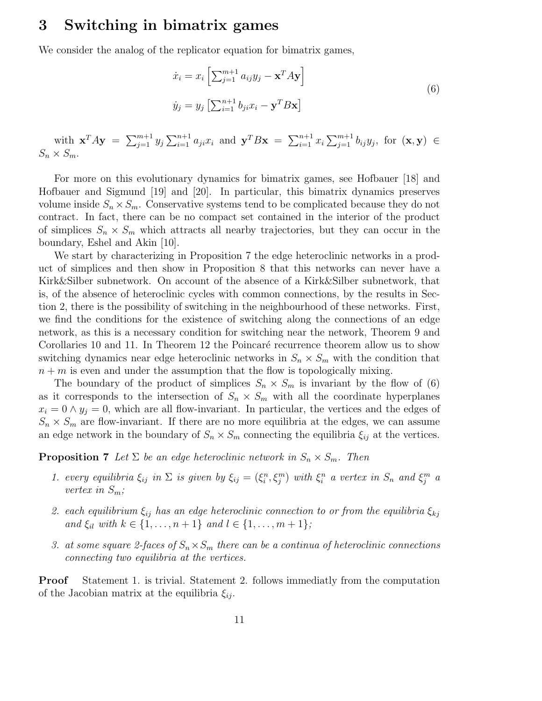### 3 Switching in bimatrix games

We consider the analog of the replicator equation for bimatrix games,

$$
\dot{x}_i = x_i \left[ \sum_{j=1}^{m+1} a_{ij} y_j - \mathbf{x}^T A \mathbf{y} \right]
$$
  
\n
$$
\dot{y}_j = y_j \left[ \sum_{i=1}^{n+1} b_{ji} x_i - \mathbf{y}^T B \mathbf{x} \right]
$$
\n(6)

with  $\mathbf{x}^T A \mathbf{y} = \sum_{j=1}^{m+1} y_j \sum_{i=1}^{n+1} a_{ji} x_i$  and  $\mathbf{y}^T B \mathbf{x} = \sum_{i=1}^{n+1} x_i \sum_{j=1}^{m+1} b_{ij} y_j$ , for  $(\mathbf{x}, \mathbf{y}) \in$  $S_n \times S_m$ .

For more on this evolutionary dynamics for bimatrix games, see Hofbauer [18] and Hofbauer and Sigmund [19] and [20]. In particular, this bimatrix dynamics preserves volume inside  $S_n \times S_m$ . Conservative systems tend to be complicated because they do not contract. In fact, there can be no compact set contained in the interior of the product of simplices  $S_n \times S_m$  which attracts all nearby trajectories, but they can occur in the boundary, Eshel and Akin [10].

We start by characterizing in Proposition 7 the edge heteroclinic networks in a product of simplices and then show in Proposition 8 that this networks can never have a Kirk&Silber subnetwork. On account of the absence of a Kirk&Silber subnetwork, that is, of the absence of heteroclinic cycles with common connections, by the results in Section 2, there is the possibility of switching in the neighbourhood of these networks. First, we find the conditions for the existence of switching along the connections of an edge network, as this is a necessary condition for switching near the network, Theorem 9 and Corollaries 10 and 11. In Theorem 12 the Poincaré recurrence theorem allow us to show switching dynamics near edge heteroclinic networks in  $S_n \times S_m$  with the condition that  $n + m$  is even and under the assumption that the flow is topologically mixing.

The boundary of the product of simplices  $S_n \times S_m$  is invariant by the flow of (6) as it corresponds to the intersection of  $S_n \times S_m$  with all the coordinate hyperplanes  $x_i = 0 \wedge y_i = 0$ , which are all flow-invariant. In particular, the vertices and the edges of  $S_n \times S_m$  are flow-invariant. If there are no more equilibria at the edges, we can assume an edge network in the boundary of  $S_n \times S_m$  connecting the equilibria  $\xi_{ij}$  at the vertices.

**Proposition 7** Let  $\Sigma$  be an edge heteroclinic network in  $S_n \times S_m$ . Then

- 1. every equilibria  $\xi_{ij}$  in  $\Sigma$  is given by  $\xi_{ij} = (\xi_i^n, \xi_j^m)$  with  $\xi_i^n$  a vertex in  $S_n$  and  $\xi_j^m$  a vertex in  $S_m$ ;
- 2. each equilibrium  $\xi_{ij}$  has an edge heteroclinic connection to or from the equilibria  $\xi_{kj}$ and  $\xi_{il}$  with  $k \in \{1, ..., n+1\}$  and  $l \in \{1, ..., m+1\}$ ;
- 3. at some square 2-faces of  $S_n \times S_m$  there can be a continua of heteroclinic connections connecting two equilibria at the vertices.

Proof Statement 1. is trivial. Statement 2. follows immediatly from the computation of the Jacobian matrix at the equilibria  $\xi_{ij}$ .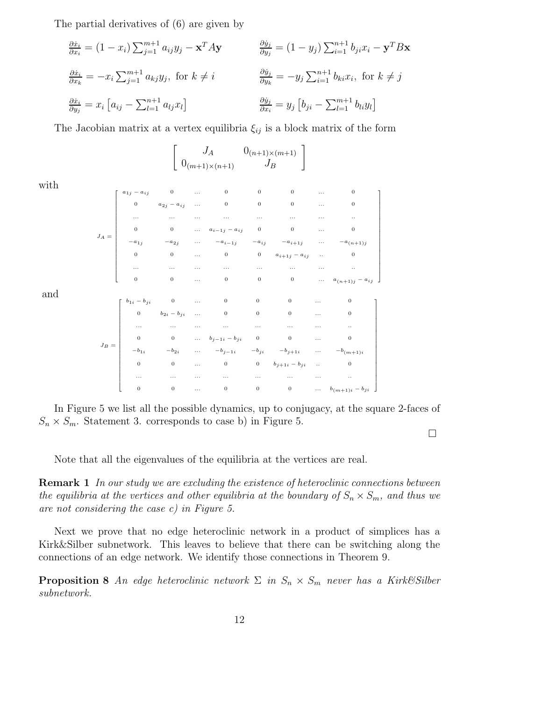The partial derivatives of (6) are given by

$$
\frac{\partial \dot{x}_i}{\partial x_i} = (1 - x_i) \sum_{j=1}^{m+1} a_{ij} y_j - \mathbf{x}^T A \mathbf{y} \qquad \frac{\partial \dot{y}_j}{\partial y_j} = (1 - y_j) \sum_{i=1}^{n+1} b_{ji} x_i - \mathbf{y}^T B \mathbf{x}
$$
  

$$
\frac{\partial \dot{x}_i}{\partial x_k} = -x_i \sum_{j=1}^{m+1} a_{kj} y_j, \text{ for } k \neq i \qquad \frac{\partial \dot{y}_j}{\partial y_k} = -y_j \sum_{i=1}^{n+1} b_{ki} x_i, \text{ for } k \neq j
$$
  

$$
\frac{\partial \dot{x}_i}{\partial y_j} = x_i [a_{ij} - \sum_{l=1}^{n+1} a_{lj} x_l]
$$
  

$$
\frac{\partial \dot{y}_j}{\partial x_i} = y_j [b_{ji} - \sum_{l=1}^{m+1} b_{li} y_l]
$$

The Jacobian matrix at a vertex equilibria  $\xi_{ij}$  is a block matrix of the form

$$
\begin{bmatrix}\nJ_A & 0_{(n+1)\times(m+1)} \\
0_{(m+1)\times(n+1)} & J_B\n\end{bmatrix}
$$

with

and

$$
J_A = \begin{bmatrix}\na_{1j} - a_{ij} & 0 & \dots & 0 & 0 & 0 & \dots & 0 \\
0 & a_{2j} - a_{ij} & \dots & 0 & 0 & 0 & \dots & 0 \\
\vdots & \vdots & \vdots & \ddots & \vdots & \vdots & \vdots & \vdots \\
0 & 0 & \dots & a_{i-1j} - a_{ij} & 0 & 0 & \dots & 0 \\
-a_{1j} & -a_{2j} & \dots & -a_{i-1j} & -a_{ij} & -a_{i+1j} & \dots & -a_{(n+1)j} \\
0 & 0 & \dots & 0 & 0 & a_{i+1j} - a_{ij} & \dots & 0 \\
\vdots & \vdots & \vdots & \vdots & \vdots & \vdots & \vdots & \vdots \\
0 & 0 & \dots & 0 & 0 & 0 & \dots & a_{(n+1)j} - a_{ij}\n\end{bmatrix}
$$
\n
$$
J_B = \begin{bmatrix}\nb_{1i} - b_{ji} & 0 & \dots & 0 & 0 & 0 & \dots & 0 \\
0 & b_{2i} - b_{ji} & \dots & 0 & 0 & 0 & \dots & 0 \\
\vdots & \vdots & \vdots & \vdots & \vdots & \vdots & \vdots & \vdots & \vdots \\
0 & 0 & \dots & b_{j-1i} - b_{ji} & 0 & 0 & \dots & 0 \\
\vdots & \vdots & \vdots & \vdots & \vdots & \vdots & \vdots & \vdots & \vdots \\
0 & 0 & \dots & 0 & 0 & b_{j+1i} - b_{ji} & \dots & -b_{(m+1)i} \\
0 & 0 & \dots & 0 & 0 & 0 & \dots & 0 \\
\vdots & \vdots & \vdots & \vdots & \vdots & \vdots & \vdots & \vdots & \vdots \\
0 & 0 & \dots & 0 & 0 & 0 & \dots & b_{(m+1)i} - b_{ji}\n\end{bmatrix}
$$

In Figure 5 we list all the possible dynamics, up to conjugacy, at the square 2-faces of  $S_n \times S_m$ . Statement 3. corresponds to case b) in Figure 5.

 $\Box$ 

Note that all the eigenvalues of the equilibria at the vertices are real.

**Remark 1** In our study we are excluding the existence of heteroclinic connections between the equilibria at the vertices and other equilibria at the boundary of  $S_n \times S_m$ , and thus we are not considering the case c) in Figure 5.

Next we prove that no edge heteroclinic network in a product of simplices has a Kirk&Silber subnetwork. This leaves to believe that there can be switching along the connections of an edge network. We identify those connections in Theorem 9.

**Proposition 8** An edge heteroclinic network  $\Sigma$  in  $S_n \times S_m$  never has a Kirk&Silber subnetwork.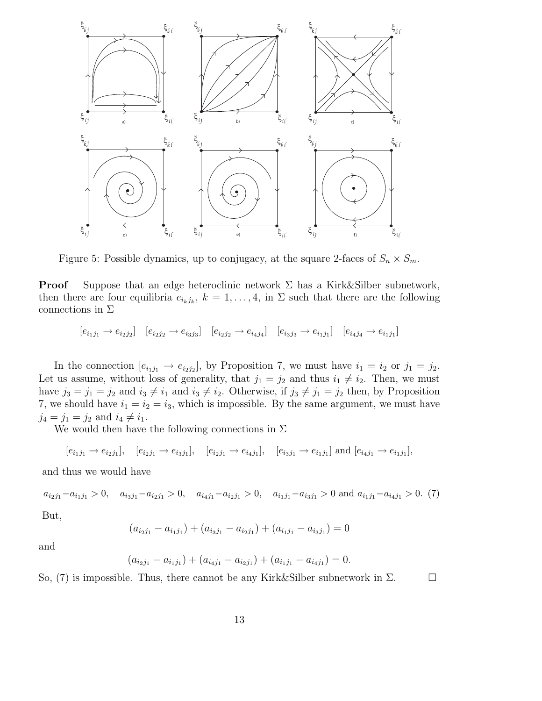

Figure 5: Possible dynamics, up to conjugacy, at the square 2-faces of  $S_n \times S_m$ .

**Proof** Suppose that an edge heteroclinic network  $\Sigma$  has a Kirk&Silber subnetwork, then there are four equilibria  $e_{i_kj_k}$ ,  $k = 1, \ldots, 4$ , in  $\Sigma$  such that there are the following connections in  $\Sigma$ 

 $[e_{i_1j_1} \to e_{i_2j_2}]$   $[e_{i_2j_2} \to e_{i_3j_3}]$   $[e_{i_2j_2} \to e_{i_4j_4}]$   $[e_{i_3j_3} \to e_{i_1j_1}]$   $[e_{i_4j_4} \to e_{i_1j_1}]$ 

In the connection  $[e_{i_1j_1} \rightarrow e_{i_2j_2}]$ , by Proposition 7, we must have  $i_1 = i_2$  or  $j_1 = j_2$ . Let us assume, without loss of generality, that  $j_1 = j_2$  and thus  $i_1 \neq i_2$ . Then, we must have  $j_3 = j_1 = j_2$  and  $i_3 \neq i_1$  and  $i_3 \neq i_2$ . Otherwise, if  $j_3 \neq j_1 = j_2$  then, by Proposition 7, we should have  $i_1 = i_2 = i_3$ , which is impossible. By the same argument, we must have  $j_4 = j_1 = j_2$  and  $i_4 \neq i_1$ .

We would then have the following connections in  $\Sigma$ 

$$
[e_{i_1j_1} \to e_{i_2j_1}], [e_{i_2j_1} \to e_{i_3j_1}], [e_{i_2j_1} \to e_{i_4j_1}], [e_{i_3j_1} \to e_{i_1j_1}]
$$
 and  $[e_{i_4j_1} \to e_{i_1j_1}],$ 

and thus we would have

 $a_{i_2j_1}-a_{i_1j_1} > 0$ ,  $a_{i_3j_1}-a_{i_2j_1} > 0$ ,  $a_{i_4j_1}-a_{i_2j_1} > 0$ ,  $a_{i_1j_1}-a_{i_3j_1} > 0$  and  $a_{i_1j_1}-a_{i_4j_1} > 0$ . (7) But,

$$
(a_{i_2j_1} - a_{i_1j_1}) + (a_{i_3j_1} - a_{i_2j_1}) + (a_{i_1j_1} - a_{i_3j_1}) = 0
$$

and

$$
(a_{i_2j_1} - a_{i_1j_1}) + (a_{i_4j_1} - a_{i_2j_1}) + (a_{i_1j_1} - a_{i_4j_1}) = 0.
$$

So, (7) is impossible. Thus, there cannot be any Kirk&Silber subnetwork in  $\Sigma$ .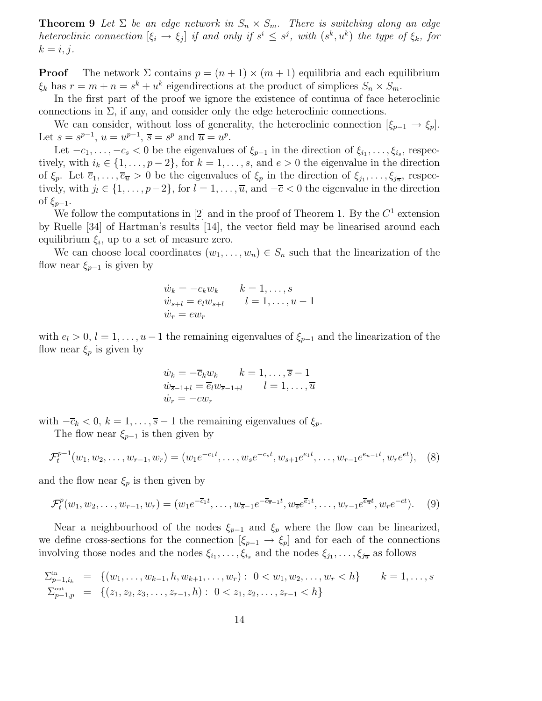**Theorem 9** Let  $\Sigma$  be an edge network in  $S_n \times S_m$ . There is switching along an edge heteroclinic connection  $[\xi_i \to \xi_j]$  if and only if  $s^i \leq s^j$ , with  $(s^k, u^k)$  the type of  $\xi_k$ , for  $k = i, j.$ 

**Proof** The network  $\Sigma$  contains  $p = (n + 1) \times (m + 1)$  equilibria and each equilibrium  $\xi_k$  has  $r = m + n = s^k + u^k$  eigendirections at the product of simplices  $S_n \times S_m$ .

In the first part of the proof we ignore the existence of continua of face heteroclinic connections in  $\Sigma$ , if any, and consider only the edge heteroclinic connections.

We can consider, without loss of generality, the heteroclinic connection  $[\xi_{p-1} \to \xi_p]$ . Let  $s = s^{p-1}$ ,  $u = u^{p-1}$ ,  $\overline{s} = s^p$  and  $\overline{u} = u^p$ .

Let  $-c_1, \ldots, -c_s < 0$  be the eigenvalues of  $\xi_{p-1}$  in the direction of  $\xi_{i_1}, \ldots, \xi_{i_s}$ , respectively, with  $i_k \in \{1, \ldots, p-2\}$ , for  $k = 1, \ldots, s$ , and  $e > 0$  the eigenvalue in the direction of  $\xi_p$ . Let  $\overline{e}_1,\ldots,\overline{e}_{\overline{u}} > 0$  be the eigenvalues of  $\xi_p$  in the direction of  $\xi_{j_1},\ldots,\xi_{j_{\overline{u}}},$  respectively, with  $j_l \in \{1, \ldots, p-2\}$ , for  $l = 1, \ldots, \overline{u}$ , and  $-\overline{c} < 0$  the eigenvalue in the direction of  $\xi_{p-1}$ .

We follow the computations in [2] and in the proof of Theorem 1. By the  $C^1$  extension by Ruelle [34] of Hartman's results [14], the vector field may be linearised around each equilibrium  $\xi_i$ , up to a set of measure zero.

We can choose local coordinates  $(w_1, \ldots, w_n) \in S_n$  such that the linearization of the flow near  $\xi_{p-1}$  is given by

$$
\begin{aligned}\n\dot{w}_k &= -c_k w_k & k &= 1, \dots, s \\
\dot{w}_{s+l} &= e_l w_{s+l} & l &= 1, \dots, u-1 \\
\dot{w}_r &= ew_r\n\end{aligned}
$$

with  $e_l > 0$ ,  $l = 1, \ldots, u-1$  the remaining eigenvalues of  $\xi_{p-1}$  and the linearization of the flow near  $\xi_p$  is given by

$$
\begin{aligned}\n\dot{w}_k &= -\overline{c}_k w_k & k &= 1, \dots, \overline{s} - 1 \\
\dot{w}_{\overline{s}-1+l} &= \overline{e}_l w_{\overline{s}-1+l} & l &= 1, \dots, \overline{u} \\
\dot{w}_r &= -cw_r\n\end{aligned}
$$

with  $-\overline{c}_k < 0, k = 1, \ldots, \overline{s} - 1$  the remaining eigenvalues of  $\xi_p$ .

The flow near  $\xi_{p-1}$  is then given by

$$
\mathcal{F}_t^{p-1}(w_1, w_2, \dots, w_{r-1}, w_r) = (w_1 e^{-c_1 t}, \dots, w_s e^{-c_s t}, w_{s+1} e^{e_1 t}, \dots, w_{r-1} e^{e_{u-1} t}, w_r e^{e t}), \quad (8)
$$

and the flow near  $\xi_p$  is then given by

$$
\mathcal{F}_t^p(w_1, w_2, \dots, w_{r-1}, w_r) = (w_1 e^{-\overline{c}_1 t}, \dots, w_{\overline{s}-1} e^{-\overline{c}_{\overline{s}-1} t}, w_{\overline{s}} e^{\overline{e}_1 t}, \dots, w_{r-1} e^{\overline{e}_{\overline{u}} t}, w_r e^{-ct}).
$$
(9)

Near a neighbourhood of the nodes  $\xi_{p-1}$  and  $\xi_p$  where the flow can be linearized, we define cross-sections for the connection  $[\xi_{p-1} \to \xi_p]$  and for each of the connections involving those nodes and the nodes  $\xi_{i_1}, \ldots, \xi_{i_s}$  and the nodes  $\xi_{j_1}, \ldots, \xi_{j_{\overline{u}}}$  as follows

$$
\sum_{p=1,i_k}^{n} = \{ (w_1, \ldots, w_{k-1}, h, w_{k+1}, \ldots, w_r) : 0 < w_1, w_2, \ldots, w_r < h \} \qquad k = 1, \ldots, s
$$
\n
$$
\sum_{p=1,p}^{\text{out}} = \{ (z_1, z_2, z_3, \ldots, z_{r-1}, h) : 0 < z_1, z_2, \ldots, z_{r-1} < h \}
$$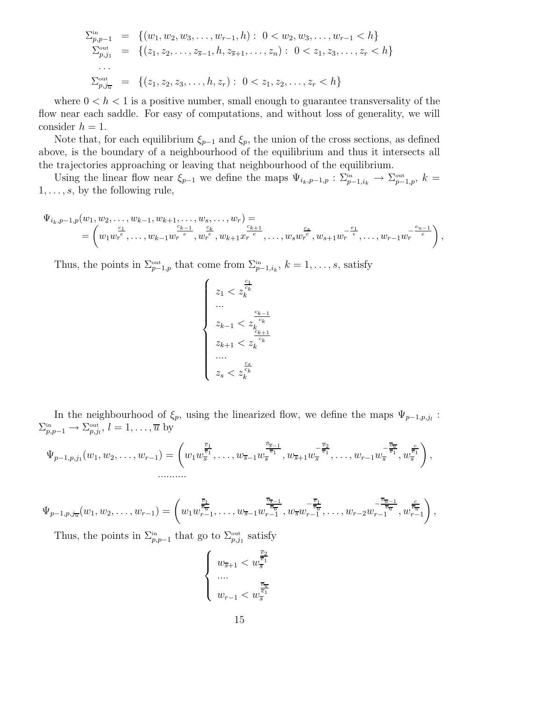$$
\sum_{p,p=1}^{\text{in}} = \{ (w_1, w_2, w_3, \dots, w_{r-1}, h) : 0 < w_2, w_3, \dots, w_{r-1} < h \}
$$
\n
$$
\sum_{p,j_1}^{\text{out}} = \{ (z_1, z_2, \dots, z_{\overline{s}-1}, h, z_{\overline{s}+1}, \dots, z_n) : 0 < z_1, z_3, \dots, z_r < h \}
$$
\n
$$
\sum_{p,j_{\overline{u}}}^{\text{out}} = \{ (z_1, z_2, z_3, \dots, h, z_r) : 0 < z_1, z_2, \dots, z_r < h \}
$$

where  $0 < h < 1$  is a positive number, small enough to guarantee transversality of the flow near each saddle. For easy of computations, and without loss of generality, we will consider  $h = 1$ .

Note that, for each equilibrium  $\xi_{p-1}$  and  $\xi_p$ , the union of the cross sections, as defined above, is the boundary of a neighbourhood of the equilibrium and thus it intersects all the trajectories approaching or leaving that neighbourhood of the equilibrium.

Using the linear flow near  $\xi_{p-1}$  we define the maps  $\Psi_{i_k,p-1,p} : \Sigma_{p-1,i_k}^{\text{in}} \to \Sigma_{p-1,p}^{\text{out}}, k =$  $1, \ldots, s$ , by the following rule,

$$
\Psi_{i_k, p-1, p}(w_1, w_2, \dots, w_{k-1}, w_{k+1}, \dots, w_s, \dots, w_r) =\n= \left(w_1 w_r^{\frac{c_1}{e}}, \dots, w_{k-1} w_r^{\frac{c_{k-1}}{e}}, w_r^{\frac{c_k}{e}}, w_{k+1} x_r^{\frac{c_{k+1}}{e}}, \dots, w_s w_r^{\frac{c_s}{e}}, w_{s+1} w_r^{-\frac{e_1}{e}}, \dots, w_{r-1} w_r^{-\frac{e_{u-1}}{e}}\right),
$$

Thus, the points in  $\Sigma_{p-1,p}^{\text{out}}$  that come from  $\Sigma_{p-1,i_k}^{\text{in}}, k = 1, \ldots, s$ , satisfy

$$
\left\{\begin{array}{c}z_1
$$

In the neighbourhood of  $\xi_p$ , using the linearized flow, we define the maps  $\Psi_{p-1,p,j_l}$ :  $\Sigma_{p,p-1}^{\text{in}} \to \Sigma_{p,j_l}^{\text{out}}, l = 1, \ldots, \overline{u}$  by

$$
\Psi_{p-1,p,j_1}(w_1,w_2,\ldots,w_{r-1})=\left(w_1w_{\overline{s}}^{\frac{\overline{c}_1}{\overline{e}_1}},\ldots,w_{\overline{s}-1}w_{\overline{s}}^{-\frac{\overline{c}_{\overline{s}-1}}{\overline{e}_1}},w_{\overline{s}+1}w_{\overline{s}}^{-\frac{\overline{e}_2}{\overline{e}_1}},\ldots,w_{r-1}w_{\overline{s}}^{-\frac{\overline{c}_{\overline{u}}}{\overline{e}_1}},w_{\overline{s}}^{\frac{\overline{c}}{\overline{e}_1}}\right),\ldots
$$

$$
\Psi_{p-1,p,j_{\overline{u}}}(w_1, w_2, \ldots, w_{r-1}) = \left(w_1 w_{r-1}^{\frac{\overline{c_1}}{\overline{e_{\overline{u}}}}}, \ldots, w_{\overline{s}-1} w_{r-1}^{\frac{\overline{c_{\overline{s}-1}}}{\overline{e_{\overline{u}}}}}, w_{\overline{s}} w_{r-1}^{-\frac{\overline{e_{\overline{u}}}}{\overline{e_{\overline{u}}}}}, \ldots, w_{r-2} w_{r-1}^{-\frac{\overline{e_{\overline{u}-1}}}{\overline{e_{\overline{u}}}}}, w_{r-1}^{\frac{\overline{c_{\overline{u}-1}}}{\overline{e_{\overline{u}}}}}\right),
$$

Thus, the points in  $\Sigma_{p,p-1}^{\text{in}}$  that go to  $\Sigma_{p,j_1}^{\text{out}}$  satisfy

$$
\left\{ \begin{array}{l} \displaystyle{w_{\overline{s}+1} < w_{\overline{s}}^{\frac{\overline{e}_2}{\overline{e}_1}} \\ \ldots \\ \displaystyle{w_{r-1} < w_{\overline{s}}^{\frac{\overline{e}_\pi}{\overline{e}_1}} } \end{array} \right.
$$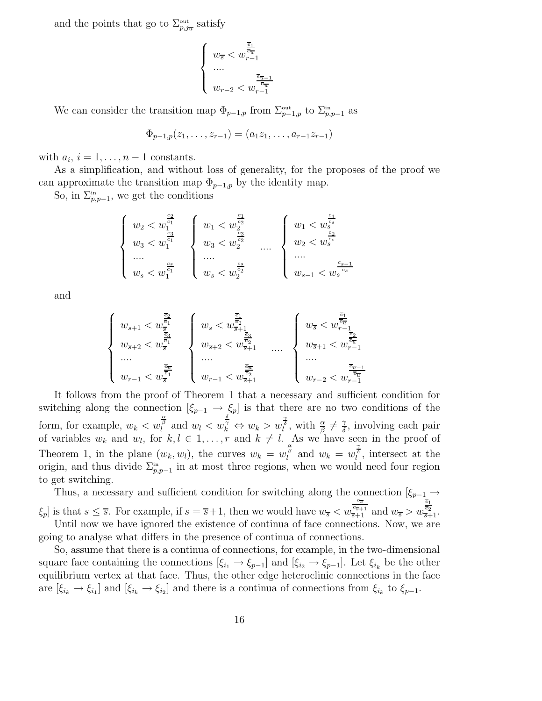and the points that go to  $\Sigma_{p,j_x}^{\text{out}}$  satisfy

$$
\left\{ \begin{array}{l} \displaystyle w_{\overline{s}} < w_{r-1}^{\frac{\overline{e}_1}{\overline{e}_{\overline{u}}}} \\ \ldots \\ \displaystyle w_{r-2} < w_{r-1}^{\frac{\overline{e}_{\overline{u}-1}}{\overline{e}_{\overline{u}}}} \end{array} \right.
$$

We can consider the transition map  $\Phi_{p-1,p}$  from  $\Sigma_{p-1,p}^{\text{out}}$  to  $\Sigma_{p,p-1}^{\text{in}}$  as

$$
\Phi_{p-1,p}(z_1,\ldots,z_{r-1})=(a_1z_1,\ldots,a_{r-1}z_{r-1})
$$

with  $a_i$ ,  $i = 1, \ldots, n-1$  constants.

As a simplification, and without loss of generality, for the proposes of the proof we can approximate the transition map  $\Phi_{p-1,p}$  by the identity map.

So, in  $\Sigma_{p,p-1}^{\text{in}}$ , we get the conditions

$$
\left\{ \begin{array}{c} w_2 < w_1^{\frac{c_2}{c_1}} \\ w_3 < w_1^{\frac{c_3}{c_1}} \\ \cdots \\ w_s < w_1^{\frac{c_s}{c_1}} \end{array} \right\} \left\{ \begin{array}{c} w_1 < w_2^{\frac{c_1}{c_2}} \\ w_3 < w_2^{\frac{c_3}{c_2}} \\ \cdots \\ w_s < w_2^{\frac{c_s}{c_2}} \end{array} \right. \left\{ \begin{array}{c} w_1 < w_s^{\frac{c_1}{c_s}} \\ w_2 < w_s^{\frac{c_2}{c_s}} \\ \cdots \\ w_{s-1} < w_s^{\frac{c_{s-1}}{c_s}} \end{array} \right.
$$

and

$$
\left\{\begin{array}{c}w_{\overline{s}+1 < w_{\overline{s}}^{\frac{\overline{e}_2}{\overline{e}_1}} \\ w_{\overline{s}+2 < w_{\overline{s}}^{\frac{\overline{e}_3}{\overline{e}_1}} \\ \cdots \\ w_{r-1 < w_{\overline{s}}^{\frac{\overline{e}_r}{\overline{e}_1}}}\end{array}\right\}\begin{array}{c}w_{\overline{s} < w_{\overline{s}+\frac{\overline{e}_1}{\overline{e}_2}} \\ w_{\overline{s} < w_{\overline{s}+\frac{\overline{e}_2}{\overline{e}_2}} \\ \cdots \\ w_{r-1 < w_{\overline{s}+1}^{\frac{\overline{e}_r}{\overline{e}_2}}}\end{array}\qquad \left\{\begin{array}{c}w_{\overline{s} < w_{r-1}^{\frac{\overline{e}_1}{\overline{e}_2}} \\ w_{\overline{s}+1 < w_{r-1}^{\frac{\overline{e}_2}{\overline{e}_2}} \\ \cdots \\ w_{r-2 < w_{r-1}^{\frac{\overline{e}_{r-1}}{\overline{e}_2}}}\end{array}\right.
$$

It follows from the proof of Theorem 1 that a necessary and sufficient condition for switching along the connection  $[\xi_{p-1} \to \xi_p]$  is that there are no two conditions of the form, for example,  $w_k < w_l^{\frac{\alpha}{\beta}}$  and  $w_l < w_k^{\frac{\delta}{\gamma}} \Leftrightarrow w_k > w_l^{\frac{\gamma}{\delta}}$ , with  $\frac{\alpha}{\beta} \neq \frac{\gamma}{\delta}$  $\frac{\gamma}{\delta}$ , involving each pair of variables  $w_k$  and  $w_l$ , for  $k, l \in 1, \ldots, r$  and  $k \neq l$ . As we have seen in the proof of Theorem 1, in the plane  $(w_k, w_l)$ , the curves  $w_k = w_l^{\frac{\alpha}{\beta}}$  and  $w_k = w_l^{\frac{\gamma}{\delta}}$ , intersect at the origin, and thus divide  $\Sigma_{p,p-1}^{\text{in}}$  in at most three regions, when we would need four region to get switching.

Thus, a necessary and sufficient condition for switching along the connection  $[\xi_{p-1} \rightarrow$  $\xi_p$  is that  $s \leq \overline{s}$ . For example, if  $s = \overline{s} + 1$ , then we would have  $w_{\overline{s}} < w$  $\frac{\frac{c_{\overline{s}}}{c_{\overline{s}+1}}}{\frac{1}{\overline{s}+1}}$  and  $w_{\overline{s}} > w$  $\frac{\overline{e_1}}{\overline{e_2}}$ <br>s+1. Until now we have ignored the existence of continua of face connections. Now, we are going to analyse what differs in the presence of continua of connections.

So, assume that there is a continua of connections, for example, in the two-dimensional square face containing the connections  $[\xi_{i_1} \to \xi_{p-1}]$  and  $[\xi_{i_2} \to \xi_{p-1}]$ . Let  $\xi_{i_k}$  be the other equilibrium vertex at that face. Thus, the other edge heteroclinic connections in the face are  $[\xi_{i_k} \to \xi_{i_1}]$  and  $[\xi_{i_k} \to \xi_{i_2}]$  and there is a continua of connections from  $\xi_{i_k}$  to  $\xi_{p-1}$ .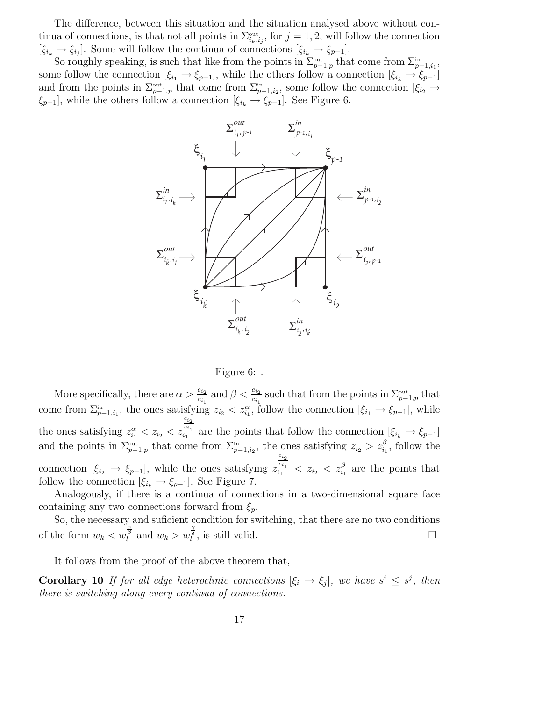The difference, between this situation and the situation analysed above without continua of connections, is that not all points in  $\Sigma^{\text{out}}_{i_k,i_j}$ , for  $j = 1, 2$ , will follow the connection  $[\xi_{i_k} \to \xi_{i_j}]$ . Some will follow the continua of connections  $[\xi_{i_k} \to \xi_{p-1}]$ .

So roughly speaking, is such that like from the points in  $\Sigma_{p-1,p}^{\text{out}}$  that come from  $\Sigma_{p-1,i_1}^{\text{in}}$ , some follow the connection  $[\xi_{i_1} \to \xi_{p-1}]$ , while the others follow a connection  $[\xi_{i_k} \to \xi_{p-1}]$ and from the points in  $\Sigma_{p-1,p}^{\text{out}}$  that come from  $\Sigma_{p-1,i_2}^{\text{in}}$ , some follow the connection  $[\xi_{i_2} \to$  $\xi_{p-1}$ , while the others follow a connection  $[\xi_{i_k} \to \xi_{p-1}]$ . See Figure 6.





More specifically, there are  $\alpha > \frac{c_{i_2}}{c_{i_1}}$  $\frac{c_{i_2}}{c_{i_1}}$  and  $\beta < \frac{c_{i_2}}{c_{i_1}}$  such that from the points in  $\Sigma_{p-1,p}^{\text{out}}$  that come from  $\Sigma_{p-1,i_1}^{in}$ , the ones satisfying  $z_{i_2} < z_{i_1}^{\alpha}$ , follow the connection  $[\xi_{i_1} \to \xi_{p-1}]$ , while the ones satisfying  $z_{i_1}^{\alpha} < z_{i_2} < z$  $\overline{c}_{i_2}$  $c_{i_1}$  $\zeta_{i_1}^{i_1}$  are the points that follow the connection  $[\xi_{i_k} \to \xi_{p-1}]$ and the points in  $\Sigma_{p-1,p}^{\text{out}}$  that come from  $\Sigma_{p-1,i_2}^{\text{in}}$ , the ones satisfying  $z_{i_2} > z_{i_1}^{\beta}$ , follow the connection  $[\xi_{i_2} \to \xi_{p-1}]$ , while the ones satisfying z  $c_{i_2}$  $z_{i_1}^{c_{i_1}} \leq z_{i_2} \leq z_{i_1}^{\beta}$  are the points that follow the connection  $[\xi_{i_k} \rightarrow \xi_{p-1}]$ . See Figure 7.

Analogously, if there is a continua of connections in a two-dimensional square face containing any two connections forward from  $\xi_p$ .

So, the necessary and suficient condition for switching, that there are no two conditions of the form  $w_k < w_l^{\frac{\alpha}{\beta}}$  and  $w_k > w_l^{\frac{\gamma}{\delta}}$ , is still valid.

It follows from the proof of the above theorem that,

**Corollary 10** If for all edge heteroclinic connections  $[\xi_i \to \xi_j]$ , we have  $s^i \leq s^j$ , then there is switching along every continua of connections.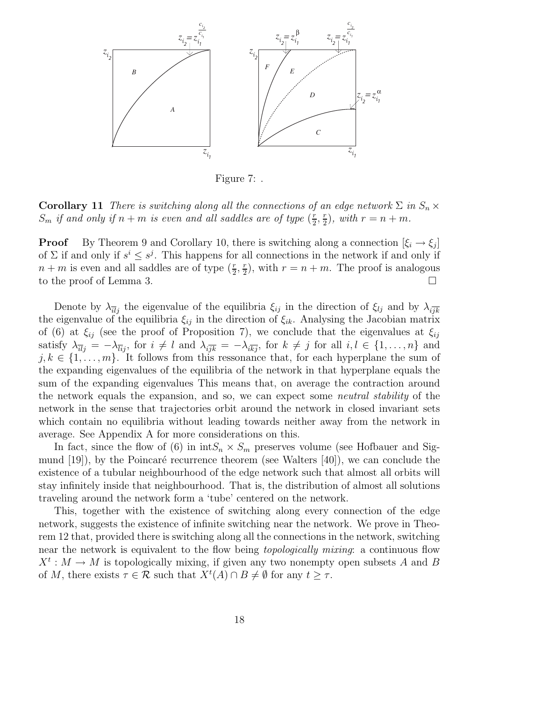

Figure 7: .

**Corollary 11** There is switching along all the connections of an edge network  $\Sigma$  in  $S_n \times$  $S_m$  if and only if  $n + m$  is even and all saddles are of type  $(\frac{r}{2})$  $rac{r}{2}, \frac{r}{2}$  $(\frac{r}{2})$ , with  $r = n + m$ .

**Proof** By Theorem 9 and Corollary 10, there is switching along a connection  $[\xi_i \rightarrow \xi_j]$ of  $\Sigma$  if and only if  $s^i \leq s^j$ . This happens for all connections in the network if and only if  $n+m$  is even and all saddles are of type  $(\frac{r}{2},\frac{r}{2})$  $(\frac{r}{2})$ , with  $r = n + m$ . The proof is analogous to the proof of Lemma 3.

Denote by  $\lambda_{\overline{il}}$  the eigenvalue of the equilibria  $\xi_{ij}$  in the direction of  $\xi_{lj}$  and by  $\lambda_{i\overline{jk}}$ the eigenvalue of the equilibria  $\xi_{ij}$  in the direction of  $\xi_{ik}$ . Analysing the Jacobian matrix of (6) at  $\xi_{ij}$  (see the proof of Proposition 7), we conclude that the eigenvalues at  $\xi_{ij}$ satisfy  $\lambda_{\overline{u}_j} = -\lambda_{\overline{u}_j}$ , for  $i \neq l$  and  $\lambda_{i\overline{j}\overline{k}} = -\lambda_{i\overline{k}\overline{j}}$ , for  $k \neq j$  for all  $i, l \in \{1, ..., n\}$  and  $j, k \in \{1, \ldots, m\}$ . It follows from this ressonance that, for each hyperplane the sum of the expanding eigenvalues of the equilibria of the network in that hyperplane equals the sum of the expanding eigenvalues This means that, on average the contraction around the network equals the expansion, and so, we can expect some neutral stability of the network in the sense that trajectories orbit around the network in closed invariant sets which contain no equilibria without leading towards neither away from the network in average. See Appendix A for more considerations on this.

In fact, since the flow of (6) in  $intS_n \times S_m$  preserves volume (see Hofbauer and Sigmund  $(19)$ , by the Poincaré recurrence theorem (see Walters  $(40)$ ), we can conclude the existence of a tubular neighbourhood of the edge network such that almost all orbits will stay infinitely inside that neighbourhood. That is, the distribution of almost all solutions traveling around the network form a 'tube' centered on the network.

This, together with the existence of switching along every connection of the edge network, suggests the existence of infinite switching near the network. We prove in Theorem 12 that, provided there is switching along all the connections in the network, switching near the network is equivalent to the flow being *topologically mixing*: a continuous flow  $X^t: M \to M$  is topologically mixing, if given any two nonempty open subsets A and B of M, there exists  $\tau \in \mathcal{R}$  such that  $X^t(A) \cap B \neq \emptyset$  for any  $t \geq \tau$ .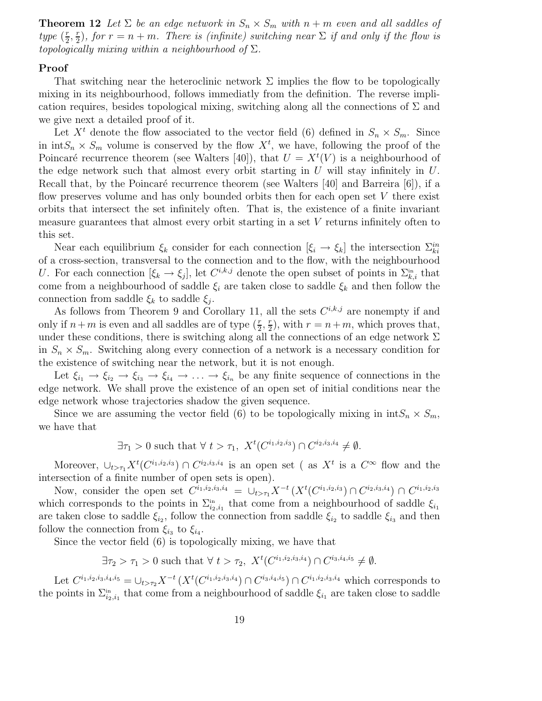**Theorem 12** Let  $\Sigma$  be an edge network in  $S_n \times S_m$  with  $n + m$  even and all saddles of type  $(\frac{r}{2})$  $rac{r}{2}, \frac{r}{2}$  $(\frac{r}{2})$ , for  $r = n + m$ . There is (infinite) switching near  $\Sigma$  if and only if the flow is topologically mixing within a neighbourhood of  $\Sigma$ .

#### Proof

That switching near the heteroclinic network  $\Sigma$  implies the flow to be topologically mixing in its neighbourhood, follows immediatly from the definition. The reverse implication requires, besides topological mixing, switching along all the connections of  $\Sigma$  and we give next a detailed proof of it.

Let  $X<sup>t</sup>$  denote the flow associated to the vector field (6) defined in  $S_n \times S_m$ . Since in  $\text{int}S_n \times S_m$  volume is conserved by the flow  $X^t$ , we have, following the proof of the Poincaré recurrence theorem (see Walters [40]), that  $U = X<sup>t</sup>(V)$  is a neighbourhood of the edge network such that almost every orbit starting in  $U$  will stay infinitely in  $U$ . Recall that, by the Poincaré recurrence theorem (see Walters  $[40]$  and Barreira  $[6]$ ), if a flow preserves volume and has only bounded orbits then for each open set  $V$  there exist orbits that intersect the set infinitely often. That is, the existence of a finite invariant measure guarantees that almost every orbit starting in a set V returns infinitely often to this set.

Near each equilibrium  $\xi_k$  consider for each connection  $[\xi_i \to \xi_k]$  the intersection  $\Sigma_{ki}^{in}$ of a cross-section, transversal to the connection and to the flow, with the neighbourhood U. For each connection  $[\xi_k \to \xi_j]$ , let  $C^{i,k,j}$  denote the open subset of points in  $\Sigma_{k,i}^{\text{in}}$  that come from a neighbourhood of saddle  $\xi_i$  are taken close to saddle  $\xi_k$  and then follow the connection from saddle  $\xi_k$  to saddle  $\xi_j$ .

As follows from Theorem 9 and Corollary 11, all the sets  $C^{i,k,j}$  are nonempty if and only if  $n+m$  is even and all saddles are of type  $(\frac{r}{2}, \frac{r}{2})$  $(\frac{r}{2})$ , with  $r = n+m$ , which proves that, under these conditions, there is switching along all the connections of an edge network  $\Sigma$ in  $S_n \times S_m$ . Switching along every connection of a network is a necessary condition for the existence of switching near the network, but it is not enough.

Let  $\xi_{i_1} \to \xi_{i_2} \to \xi_{i_3} \to \xi_{i_4} \to \ldots \to \xi_{i_n}$  be any finite sequence of connections in the edge network. We shall prove the existence of an open set of initial conditions near the edge network whose trajectories shadow the given sequence.

Since we are assuming the vector field (6) to be topologically mixing in  $\text{int}S_n \times S_m$ , we have that

$$
\exists \tau_1 > 0
$$
 such that  $\forall t > \tau_1$ ,  $X^t(C^{i_1, i_2, i_3}) \cap C^{i_2, i_3, i_4} \neq \emptyset$ .

Moreover,  $\cup_{t>\tau_1} X^t(C^{i_1,i_2,i_3}) \cap C^{i_2,i_3,i_4}$  is an open set (as  $X^t$  is a  $C^{\infty}$  flow and the intersection of a finite number of open sets is open).

Now, consider the open set  $C^{i_1,i_2,i_3,i_4} = \bigcup_{t > \tau_1} X^{-t} \left( X^t(C^{i_1,i_2,i_3}) \cap C^{i_2,i_3,i_4} \right) \cap C^{i_1,i_2,i_3}$ which corresponds to the points in  $\Sigma_{i_2,i_1}^{in}$  that come from a neighbourhood of saddle  $\xi_{i_1}$ are taken close to saddle  $\xi_{i_2}$ , follow the connection from saddle  $\xi_{i_2}$  to saddle  $\xi_{i_3}$  and then follow the connection from  $\xi_{i_3}$  to  $\xi_{i_4}$ .

Since the vector field (6) is topologically mixing, we have that

 $\exists \tau_2 > \tau_1 > 0$  such that  $\forall t > \tau_2$ ,  $X^t(C^{i_1,i_2,i_3,i_4}) \cap C^{i_3,i_4,i_5} \neq \emptyset$ .

Let  $C^{i_1,i_2,i_3,i_4,i_5} = \bigcup_{t > \tau_2} X^{-t} \left( X^t(C^{i_1,i_2,i_3,i_4}) \cap C^{i_3,i_4,i_5} \right) \cap C^{i_1,i_2,i_3,i_4}$  which corresponds to the points in  $\Sigma_{i_2,i_1}^{\text{in}}$  that come from a neighbourhood of saddle  $\xi_{i_1}$  are taken close to saddle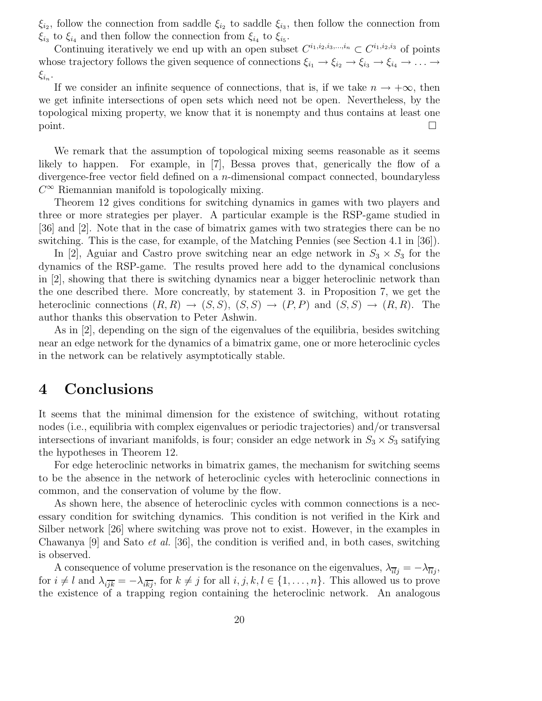$\xi_{i_2}$ , follow the connection from saddle  $\xi_{i_2}$  to saddle  $\xi_{i_3}$ , then follow the connection from  $\xi_{i_3}$  to  $\xi_{i_4}$  and then follow the connection from  $\xi_{i_4}$  to  $\xi_{i_5}$ .

Continuing iteratively we end up with an open subset  $C^{i_1,i_2,i_3,\dots,i_n} \subset C^{i_1,i_2,i_3}$  of points whose trajectory follows the given sequence of connections  $\xi_{i_1} \to \xi_{i_2} \to \xi_{i_3} \to \xi_{i_4} \to \ldots \to$  $\xi_{i_n}.$ 

If we consider an infinite sequence of connections, that is, if we take  $n \to +\infty$ , then we get infinite intersections of open sets which need not be open. Nevertheless, by the topological mixing property, we know that it is nonempty and thus contains at least one  $\Box$ 

We remark that the assumption of topological mixing seems reasonable as it seems likely to happen. For example, in [7], Bessa proves that, generically the flow of a divergence-free vector field defined on a n-dimensional compact connected, boundaryless  $C^{\infty}$  Riemannian manifold is topologically mixing.

Theorem 12 gives conditions for switching dynamics in games with two players and three or more strategies per player. A particular example is the RSP-game studied in [36] and [2]. Note that in the case of bimatrix games with two strategies there can be no switching. This is the case, for example, of the Matching Pennies (see Section 4.1 in [36]).

In [2], Aguiar and Castro prove switching near an edge network in  $S_3 \times S_3$  for the dynamics of the RSP-game. The results proved here add to the dynamical conclusions in [2], showing that there is switching dynamics near a bigger heteroclinic network than the one described there. More concreatly, by statement 3. in Proposition 7, we get the heteroclinic connections  $(R, R) \rightarrow (S, S), (S, S) \rightarrow (P, P)$  and  $(S, S) \rightarrow (R, R)$ . The author thanks this observation to Peter Ashwin.

As in [2], depending on the sign of the eigenvalues of the equilibria, besides switching near an edge network for the dynamics of a bimatrix game, one or more heteroclinic cycles in the network can be relatively asymptotically stable.

### 4 Conclusions

It seems that the minimal dimension for the existence of switching, without rotating nodes (i.e., equilibria with complex eigenvalues or periodic trajectories) and/or transversal intersections of invariant manifolds, is four; consider an edge network in  $S_3 \times S_3$  satifying the hypotheses in Theorem 12.

For edge heteroclinic networks in bimatrix games, the mechanism for switching seems to be the absence in the network of heteroclinic cycles with heteroclinic connections in common, and the conservation of volume by the flow.

As shown here, the absence of heteroclinic cycles with common connections is a necessary condition for switching dynamics. This condition is not verified in the Kirk and Silber network [26] where switching was prove not to exist. However, in the examples in Chawanya  $[9]$  and Sato *et al.* [36], the condition is verified and, in both cases, switching is observed.

A consequence of volume preservation is the resonance on the eigenvalues,  $\lambda_{\overline{u}j} = -\lambda_{\overline{u}j}$ , for  $i \neq l$  and  $\lambda_{i\overline{ik}} = -\lambda_{i\overline{kj}}$ , for  $k \neq j$  for all  $i, j, k, l \in \{1, ..., n\}$ . This allowed us to prove the existence of a trapping region containing the heteroclinic network. An analogous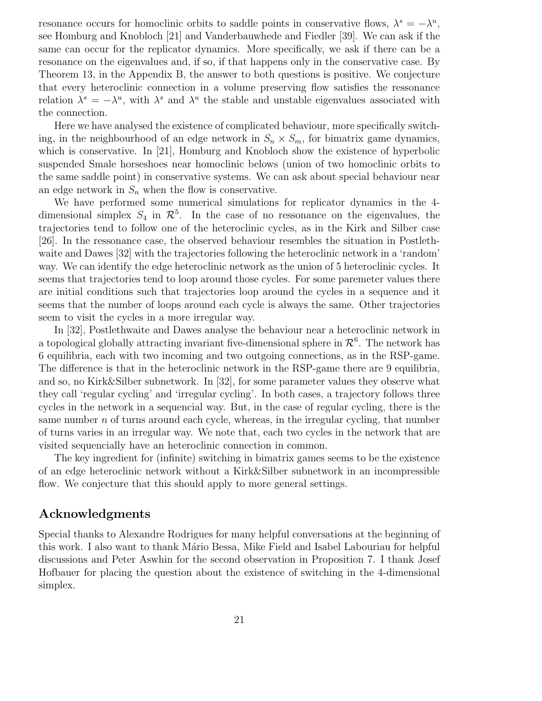resonance occurs for homoclinic orbits to saddle points in conservative flows,  $\lambda^s = -\lambda^u$ , see Homburg and Knobloch [21] and Vanderbauwhede and Fiedler [39]. We can ask if the same can occur for the replicator dynamics. More specifically, we ask if there can be a resonance on the eigenvalues and, if so, if that happens only in the conservative case. By Theorem 13, in the Appendix B, the answer to both questions is positive. We conjecture that every heteroclinic connection in a volume preserving flow satisfies the ressonance relation  $\lambda^s = -\lambda^u$ , with  $\lambda^s$  and  $\lambda^u$  the stable and unstable eigenvalues associated with the connection.

Here we have analysed the existence of complicated behaviour, more specifically switching, in the neighbourhood of an edge network in  $S_n \times S_m$ , for bimatrix game dynamics, which is conservative. In [21], Homburg and Knobloch show the existence of hyperbolic suspended Smale horseshoes near homoclinic belows (union of two homoclinic orbits to the same saddle point) in conservative systems. We can ask about special behaviour near an edge network in  $S_n$  when the flow is conservative.

We have performed some numerical simulations for replicator dynamics in the 4 dimensional simplex  $S_4$  in  $\mathcal{R}^5$ . In the case of no ressonance on the eigenvalues, the trajectories tend to follow one of the heteroclinic cycles, as in the Kirk and Silber case [26]. In the ressonance case, the observed behaviour resembles the situation in Postlethwaite and Dawes [32] with the trajectories following the heteroclinic network in a 'random' way. We can identify the edge heteroclinic network as the union of 5 heteroclinic cycles. It seems that trajectories tend to loop around those cycles. For some paremeter values there are initial conditions such that trajectories loop around the cycles in a sequence and it seems that the number of loops around each cycle is always the same. Other trajectories seem to visit the cycles in a more irregular way.

In [32], Postlethwaite and Dawes analyse the behaviour near a heteroclinic network in a topological globally attracting invariant five-dimensional sphere in  $\mathcal{R}^6$ . The network has 6 equilibria, each with two incoming and two outgoing connections, as in the RSP-game. The difference is that in the heteroclinic network in the RSP-game there are 9 equilibria, and so, no Kirk&Silber subnetwork. In [32], for some parameter values they observe what they call 'regular cycling' and 'irregular cycling'. In both cases, a trajectory follows three cycles in the network in a sequencial way. But, in the case of regular cycling, there is the same number  $n$  of turns around each cycle, whereas, in the irregular cycling, that number of turns varies in an irregular way. We note that, each two cycles in the network that are visited sequencially have an heteroclinic connection in common.

The key ingredient for (infinite) switching in bimatrix games seems to be the existence of an edge heteroclinic network without a Kirk&Silber subnetwork in an incompressible flow. We conjecture that this should apply to more general settings.

#### Acknowledgments

Special thanks to Alexandre Rodrigues for many helpful conversations at the beginning of this work. I also want to thank Mário Bessa, Mike Field and Isabel Labouriau for helpful discussions and Peter Aswhin for the second observation in Proposition 7. I thank Josef Hofbauer for placing the question about the existence of switching in the 4-dimensional simplex.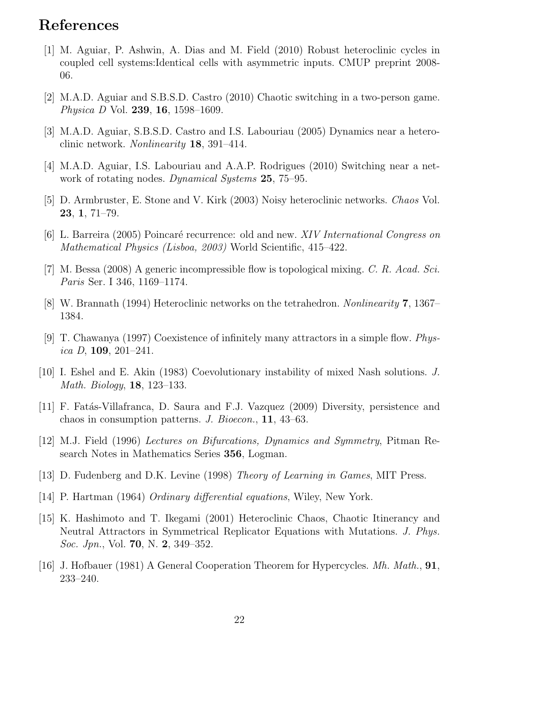# References

- [1] M. Aguiar, P. Ashwin, A. Dias and M. Field (2010) Robust heteroclinic cycles in coupled cell systems:Identical cells with asymmetric inputs. CMUP preprint 2008- 06.
- [2] M.A.D. Aguiar and S.B.S.D. Castro (2010) Chaotic switching in a two-person game. *Physica D* Vol. **239**, **16**, 1598–1609.
- [3] M.A.D. Aguiar, S.B.S.D. Castro and I.S. Labouriau (2005) Dynamics near a heteroclinic network. Nonlinearity 18, 391–414.
- [4] M.A.D. Aguiar, I.S. Labouriau and A.A.P. Rodrigues (2010) Switching near a network of rotating nodes. Dynamical Systems 25, 75–95.
- [5] D. Armbruster, E. Stone and V. Kirk (2003) Noisy heteroclinic networks. Chaos Vol. 23, 1, 71–79.
- [6] L. Barreira (2005) Poincaré recurrence: old and new. XIV International Congress on Mathematical Physics (Lisboa, 2003) World Scientific, 415–422.
- [7] M. Bessa (2008) A generic incompressible flow is topological mixing. C. R. Acad. Sci. Paris Ser. I 346, 1169–1174.
- [8] W. Brannath (1994) Heteroclinic networks on the tetrahedron. Nonlinearity 7, 1367– 1384.
- [9] T. Chawanya (1997) Coexistence of infinitely many attractors in a simple flow. Physica D, 109, 201–241.
- [10] I. Eshel and E. Akin (1983) Coevolutionary instability of mixed Nash solutions. J. Math. Biology, 18, 123–133.
- [11] F. Fat´as-Villafranca, D. Saura and F.J. Vazquez (2009) Diversity, persistence and chaos in consumption patterns. J. Bioecon., 11, 43–63.
- [12] M.J. Field (1996) Lectures on Bifurcations, Dynamics and Symmetry, Pitman Research Notes in Mathematics Series 356, Logman.
- [13] D. Fudenberg and D.K. Levine (1998) Theory of Learning in Games, MIT Press.
- [14] P. Hartman (1964) Ordinary differential equations, Wiley, New York.
- [15] K. Hashimoto and T. Ikegami (2001) Heteroclinic Chaos, Chaotic Itinerancy and Neutral Attractors in Symmetrical Replicator Equations with Mutations. J. Phys. Soc. Jpn., Vol. **70**, N. **2**, 349–352.
- [16] J. Hofbauer (1981) A General Cooperation Theorem for Hypercycles. Mh. Math., 91, 233–240.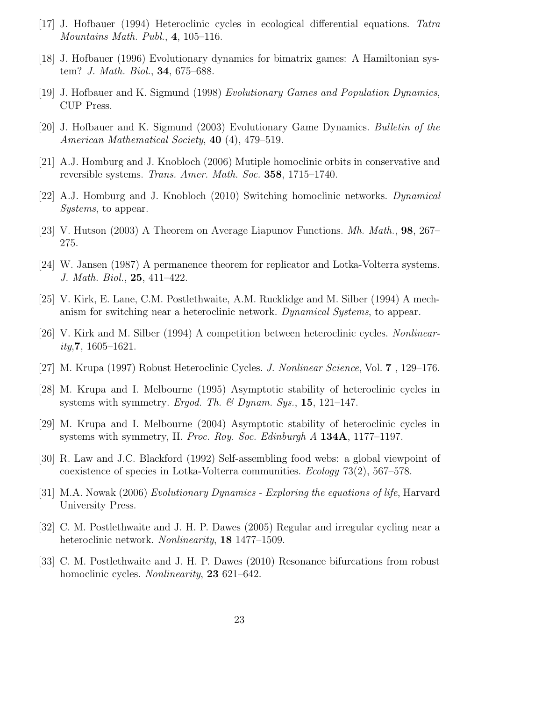- [17] J. Hofbauer (1994) Heteroclinic cycles in ecological differential equations. Tatra Mountains Math. Publ., 4, 105–116.
- [18] J. Hofbauer (1996) Evolutionary dynamics for bimatrix games: A Hamiltonian system? J. Math. Biol., 34, 675–688.
- [19] J. Hofbauer and K. Sigmund (1998) Evolutionary Games and Population Dynamics, CUP Press.
- [20] J. Hofbauer and K. Sigmund (2003) Evolutionary Game Dynamics. Bulletin of the American Mathematical Society, **40** (4), 479–519.
- [21] A.J. Homburg and J. Knobloch (2006) Mutiple homoclinic orbits in conservative and reversible systems. Trans. Amer. Math. Soc. 358, 1715–1740.
- [22] A.J. Homburg and J. Knobloch (2010) Switching homoclinic networks. Dynamical Systems, to appear.
- [23] V. Hutson (2003) A Theorem on Average Liapunov Functions. Mh. Math., 98, 267– 275.
- [24] W. Jansen (1987) A permanence theorem for replicator and Lotka-Volterra systems. J. Math. Biol., 25, 411–422.
- [25] V. Kirk, E. Lane, C.M. Postlethwaite, A.M. Rucklidge and M. Silber (1994) A mechanism for switching near a heteroclinic network. Dynamical Systems, to appear.
- [26] V. Kirk and M. Silber (1994) A competition between heteroclinic cycles. Nonlinear $ity, 7, 1605 - 1621.$
- [27] M. Krupa (1997) Robust Heteroclinic Cycles. J. Nonlinear Science, Vol. 7 , 129–176.
- [28] M. Krupa and I. Melbourne (1995) Asymptotic stability of heteroclinic cycles in systems with symmetry. Ergod. Th. & Dynam. Sys., 15, 121–147.
- [29] M. Krupa and I. Melbourne (2004) Asymptotic stability of heteroclinic cycles in systems with symmetry, II. Proc. Roy. Soc. Edinburgh A 134A, 1177-1197.
- [30] R. Law and J.C. Blackford (1992) Self-assembling food webs: a global viewpoint of coexistence of species in Lotka-Volterra communities. Ecology 73(2), 567–578.
- [31] M.A. Nowak (2006) Evolutionary Dynamics Exploring the equations of life, Harvard University Press.
- [32] C. M. Postlethwaite and J. H. P. Dawes (2005) Regular and irregular cycling near a heteroclinic network. Nonlinearity, 18 1477–1509.
- [33] C. M. Postlethwaite and J. H. P. Dawes (2010) Resonance bifurcations from robust homoclinic cycles. *Nonlinearity*, **23** 621–642.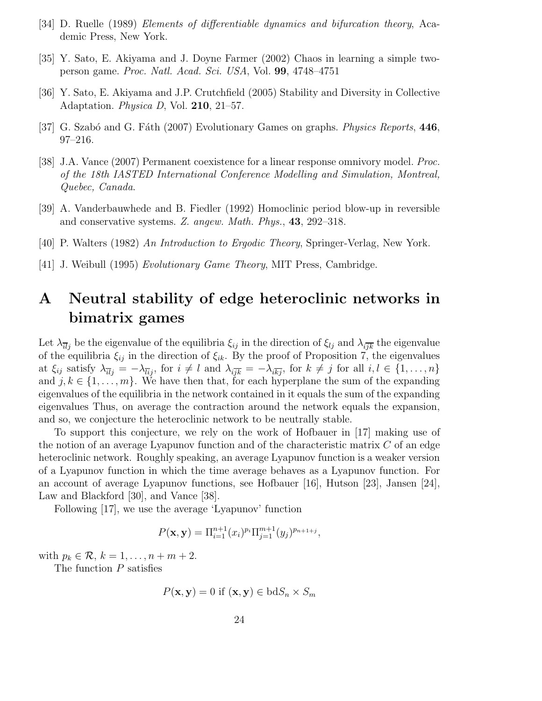- [34] D. Ruelle (1989) Elements of differentiable dynamics and bifurcation theory, Academic Press, New York.
- [35] Y. Sato, E. Akiyama and J. Doyne Farmer (2002) Chaos in learning a simple twoperson game. Proc. Natl. Acad. Sci. USA, Vol. 99, 4748–4751
- [36] Y. Sato, E. Akiyama and J.P. Crutchfield (2005) Stability and Diversity in Collective Adaptation. *Physica D*, Vol. **210**, 21–57.
- [37] G. Szabó and G. Fáth (2007) Evolutionary Games on graphs. *Physics Reports*, 446, 97–216.
- [38] J.A. Vance (2007) Permanent coexistence for a linear response omnivory model. Proc. of the 18th IASTED International Conference Modelling and Simulation, Montreal, Quebec, Canada.
- [39] A. Vanderbauwhede and B. Fiedler (1992) Homoclinic period blow-up in reversible and conservative systems. Z. angew. Math. Phys., 43, 292–318.
- [40] P. Walters (1982) An Introduction to Ergodic Theory, Springer-Verlag, New York.
- [41] J. Weibull (1995) Evolutionary Game Theory, MIT Press, Cambridge.

## A Neutral stability of edge heteroclinic networks in bimatrix games

Let  $\lambda_{\overline{u}_i}$  be the eigenvalue of the equilibria  $\xi_{ij}$  in the direction of  $\xi_{lj}$  and  $\lambda_{i\overline{ik}}$  the eigenvalue of the equilibria  $\xi_{ij}$  in the direction of  $\xi_{ik}$ . By the proof of Proposition 7, the eigenvalues at  $\xi_{ij}$  satisfy  $\lambda_{\overline{ii}} = -\lambda_{\overline{ii}}$ , for  $i \neq l$  and  $\lambda_{i\overline{ik}} = -\lambda_{i\overline{k}i}$ , for  $k \neq j$  for all  $i, l \in \{1, \ldots, n\}$ and  $j, k \in \{1, \ldots, m\}$ . We have then that, for each hyperplane the sum of the expanding eigenvalues of the equilibria in the network contained in it equals the sum of the expanding eigenvalues Thus, on average the contraction around the network equals the expansion, and so, we conjecture the heteroclinic network to be neutrally stable.

To support this conjecture, we rely on the work of Hofbauer in [17] making use of the notion of an average Lyapunov function and of the characteristic matrix  $C$  of an edge heteroclinic network. Roughly speaking, an average Lyapunov function is a weaker version of a Lyapunov function in which the time average behaves as a Lyapunov function. For an account of average Lyapunov functions, see Hofbauer [16], Hutson [23], Jansen [24], Law and Blackford [30], and Vance [38].

Following [17], we use the average 'Lyapunov' function

$$
P(\mathbf{x}, \mathbf{y}) = \Pi_{i=1}^{n+1} (x_i)^{p_i} \Pi_{j=1}^{m+1} (y_j)^{p_{n+1+j}},
$$

with  $p_k \in \mathcal{R}, k = 1, \ldots, n + m + 2$ .

The function  $P$  satisfies

$$
P(\mathbf{x}, \mathbf{y}) = 0 \text{ if } (\mathbf{x}, \mathbf{y}) \in \text{bd} S_n \times S_m
$$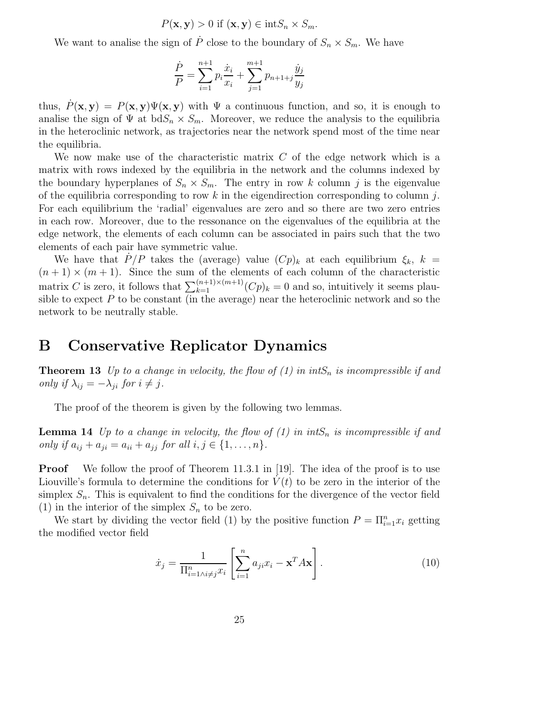$$
P(\mathbf{x}, \mathbf{y}) > 0 \text{ if } (\mathbf{x}, \mathbf{y}) \in \text{int} S_n \times S_m.
$$

We want to analise the sign of  $\dot{P}$  close to the boundary of  $S_n \times S_m$ . We have

$$
\frac{\dot{P}}{P} = \sum_{i=1}^{n+1} p_i \frac{\dot{x}_i}{x_i} + \sum_{j=1}^{m+1} p_{n+1+j} \frac{\dot{y}_j}{y_j}
$$

thus,  $\dot{P}(\mathbf{x}, \mathbf{y}) = P(\mathbf{x}, \mathbf{y}) \Psi(\mathbf{x}, \mathbf{y})$  with  $\Psi$  a continuous function, and so, it is enough to analise the sign of  $\Psi$  at  $b dS_n \times S_m$ . Moreover, we reduce the analysis to the equilibria in the heteroclinic network, as trajectories near the network spend most of the time near the equilibria.

We now make use of the characteristic matrix  $C$  of the edge network which is a matrix with rows indexed by the equilibria in the network and the columns indexed by the boundary hyperplanes of  $S_n \times S_m$ . The entry in row k column j is the eigenvalue of the equilibria corresponding to row  $k$  in the eigendirection corresponding to column  $j$ . For each equilibrium the 'radial' eigenvalues are zero and so there are two zero entries in each row. Moreover, due to the ressonance on the eigenvalues of the equilibria at the edge network, the elements of each column can be associated in pairs such that the two elements of each pair have symmetric value.

We have that  $P/P$  takes the (average) value  $(Cp)_k$  at each equilibrium  $\xi_k$ ,  $k =$  $(n+1) \times (m+1)$ . Since the sum of the elements of each column of the characteristic matrix C is zero, it follows that  $\sum_{k=1}^{(n+1)\times(m+1)} (Cp)_k = 0$  and so, intuitively it seems plausible to expect  $P$  to be constant (in the average) near the heteroclinic network and so the network to be neutrally stable.

### B Conservative Replicator Dynamics

**Theorem 13** Up to a change in velocity, the flow of  $(1)$  in int $S_n$  is incompressible if and only if  $\lambda_{ij} = -\lambda_{ji}$  for  $i \neq j$ .

The proof of the theorem is given by the following two lemmas.

**Lemma 14** Up to a change in velocity, the flow of  $(1)$  in int $S_n$  is incompressible if and only if  $a_{ij} + a_{ji} = a_{ii} + a_{jj}$  for all  $i, j \in \{1, ..., n\}$ .

**Proof** We follow the proof of Theorem 11.3.1 in [19]. The idea of the proof is to use Liouville's formula to determine the conditions for  $V(t)$  to be zero in the interior of the simplex  $S_n$ . This is equivalent to find the conditions for the divergence of the vector field (1) in the interior of the simplex  $S_n$  to be zero.

We start by dividing the vector field (1) by the positive function  $P = \prod_{i=1}^n x_i$  getting the modified vector field

$$
\dot{x}_j = \frac{1}{\prod_{i=1}^n \lambda_i \neq j} \left[ \sum_{i=1}^n a_{ji} x_i - \mathbf{x}^T A \mathbf{x} \right]. \tag{10}
$$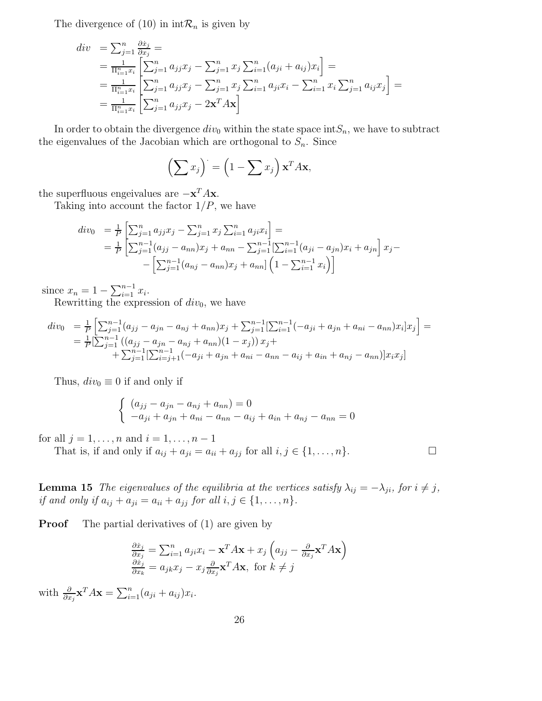The divergence of (10) in  $\mathrm{int}\mathcal{R}_n$  is given by

$$
div = \sum_{j=1}^{n} \frac{\partial \dot{x}_j}{\partial x_j} =
$$
  
\n
$$
= \frac{1}{\Pi_{i=1}^n x_i} \left[ \sum_{j=1}^{n} a_{jj} x_j - \sum_{j=1}^{n} x_j \sum_{i=1}^{n} (a_{ji} + a_{ij}) x_i \right] =
$$
  
\n
$$
= \frac{1}{\Pi_{i=1}^n x_i} \left[ \sum_{j=1}^{n} a_{jj} x_j - \sum_{j=1}^{n} x_j \sum_{i=1}^{n} a_{ji} x_i - \sum_{i=1}^{n} x_i \sum_{j=1}^{n} a_{ij} x_j \right] =
$$
  
\n
$$
= \frac{1}{\Pi_{i=1}^n x_i} \left[ \sum_{j=1}^{n} a_{jj} x_j - 2 \mathbf{x}^T A \mathbf{x} \right]
$$

In order to obtain the divergence  $div_0$  within the state space int $S_n$ , we have to subtract the eigenvalues of the Jacobian which are orthogonal to  $S_n$ . Since

$$
\left(\sum x_j\right) = \left(1 - \sum x_j\right) \mathbf{x}^T A \mathbf{x},
$$

the superfluous engeivalues are  $-\mathbf{x}^T A \mathbf{x}$ .

Taking into account the factor  $1/P$ , we have

$$
div_0 = \frac{1}{P} \left[ \sum_{j=1}^n a_{jj} x_j - \sum_{j=1}^n x_j \sum_{i=1}^n a_{ji} x_i \right] =
$$
  
=  $\frac{1}{P} \left[ \sum_{j=1}^{n-1} (a_{jj} - a_{nn}) x_j + a_{nn} - \sum_{j=1}^{n-1} [\sum_{i=1}^{n-1} (a_{ji} - a_{jn}) x_i + a_{jn} \right] x_j -$   
-  $\left[ \sum_{j=1}^{n-1} (a_{nj} - a_{nn}) x_j + a_{nn} \right] \left( 1 - \sum_{i=1}^{n-1} x_i \right) \right]$ 

since  $x_n = 1 - \sum_{i=1}^{n-1} x_i$ .

Rewritting the expression of  $div_0$ , we have

$$
div_0 = \frac{1}{P} \Big[ \sum_{j=1}^{n-1} (a_{jj} - a_{jn} - a_{nj} + a_{nn}) x_j + \sum_{j=1}^{n-1} \Big[ \sum_{i=1}^{n-1} (-a_{ji} + a_{jn} + a_{ni} - a_{nn}) x_i \Big] x_j \Big] =
$$
  
= 
$$
\frac{1}{P} \Big[ \sum_{j=1}^{n-1} ((a_{jj} - a_{jn} - a_{nj} + a_{nn})(1 - x_j)) x_j +
$$
  
+ 
$$
\sum_{j=1}^{n-1} \Big[ \sum_{i=j+1}^{n-1} (-a_{ji} + a_{jn} + a_{ni} - a_{nn} - a_{ij} + a_{in} + a_{nj} - a_{nn}) \Big] x_i x_j \Big]
$$

Thus,  $div_0 \equiv 0$  if and only if

$$
\begin{cases}\n(a_{jj} - a_{jn} - a_{nj} + a_{nn}) = 0 \\
-a_{ji} + a_{jn} + a_{ni} - a_{nn} - a_{ij} + a_{in} + a_{nj} - a_{nn} = 0\n\end{cases}
$$

for all  $j = 1, ..., n$  and  $i = 1, ..., n - 1$ 

That is, if and only if  $a_{ij} + a_{ji} = a_{ii} + a_{jj}$  for all  $i, j \in \{1, ..., n\}$ .

**Lemma 15** The eigenvalues of the equilibria at the vertices satisfy  $\lambda_{ij} = -\lambda_{ji}$ , for  $i \neq j$ , if and only if  $a_{ij} + a_{ji} = a_{ii} + a_{jj}$  for all  $i, j \in \{1, ..., n\}$ .

**Proof** The partial derivatives of (1) are given by

$$
\frac{\partial \dot{x}_j}{\partial x_j} = \sum_{i=1}^n a_{ji} x_i - \mathbf{x}^T A \mathbf{x} + x_j \left( a_{jj} - \frac{\partial}{\partial x_j} \mathbf{x}^T A \mathbf{x} \right)
$$

$$
\frac{\partial \dot{x}_j}{\partial x_k} = a_{jk} x_j - x_j \frac{\partial}{\partial x_j} \mathbf{x}^T A \mathbf{x}, \text{ for } k \neq j
$$

with  $\frac{\partial}{\partial x_j} \mathbf{x}^T A \mathbf{x} = \sum_{i=1}^n (a_{ji} + a_{ij}) x_i$ .